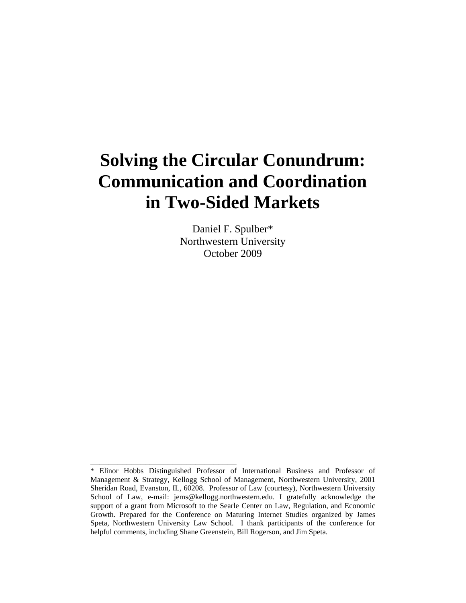# **Solving the Circular Conundrum: Communication and Coordination in Two-Sided Markets**

Daniel F. Spulber\* Northwestern University October 2009

\_\_\_\_\_\_\_\_\_\_\_\_\_\_\_\_\_\_\_\_\_\_\_\_\_\_\_\_\_\_\_\_

<sup>\*</sup> Elinor Hobbs Distinguished Professor of International Business and Professor of Management & Strategy, Kellogg School of Management, Northwestern University, 2001 Sheridan Road, Evanston, IL, 60208. Professor of Law (courtesy), Northwestern University School of Law, e-mail: jems@kellogg.northwestern.edu. I gratefully acknowledge the support of a grant from Microsoft to the Searle Center on Law, Regulation, and Economic Growth. Prepared for the Conference on Maturing Internet Studies organized by James Speta, Northwestern University Law School. I thank participants of the conference for helpful comments, including Shane Greenstein, Bill Rogerson, and Jim Speta.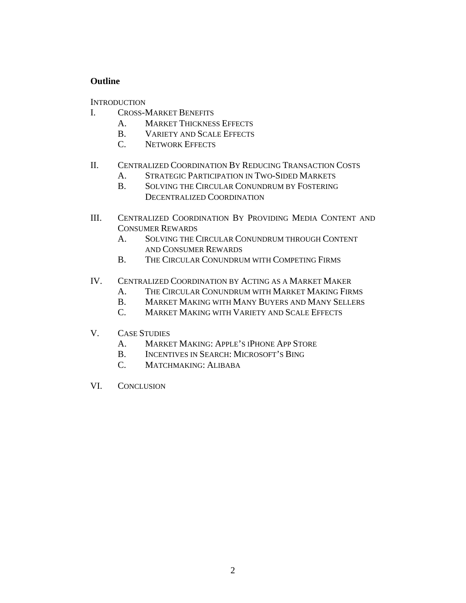# **Outline**

**INTRODUCTION** 

- I. CROSS-MARKET BENEFITS
	- A. MARKET THICKNESS EFFECTS
	- B. VARIETY AND SCALE EFFECTS
	- C. NETWORK EFFECTS

# II. CENTRALIZED COORDINATION BY REDUCING TRANSACTION COSTS

- A. STRATEGIC PARTICIPATION IN TWO-SIDED MARKETS
- B. SOLVING THE CIRCULAR CONUNDRUM BY FOSTERING DECENTRALIZED COORDINATION
- III. CENTRALIZED COORDINATION BY PROVIDING MEDIA CONTENT AND CONSUMER REWARDS
	- A. SOLVING THE CIRCULAR CONUNDRUM THROUGH CONTENT AND CONSUMER REWARDS
	- B. THE CIRCULAR CONUNDRUM WITH COMPETING FIRMS
- IV. CENTRALIZED COORDINATION BY ACTING AS A MARKET MAKER
	- A. THE CIRCULAR CONUNDRUM WITH MARKET MAKING FIRMS
	- B. MARKET MAKING WITH MANY BUYERS AND MANY SELLERS
	- C. MARKET MAKING WITH VARIETY AND SCALE EFFECTS
- V. CASE STUDIES
	- A. MARKET MAKING: APPLE'S IPHONE APP STORE
	- B. INCENTIVES IN SEARCH: MICROSOFT'S BING
	- C. MATCHMAKING: ALIBABA
- VI. CONCLUSION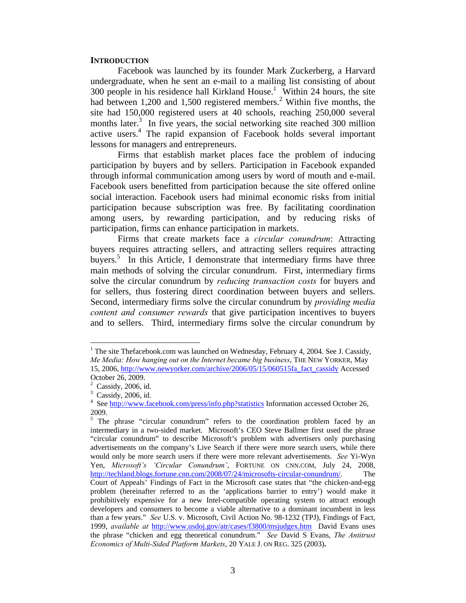#### **INTRODUCTION**

Facebook was launched by its founder Mark Zuckerberg, a Harvard undergraduate, when he sent an e-mail to a mailing list consisting of about 300 people in his residence hall Kirkland House.<sup>1</sup> Within 24 hours, the site had between 1,200 and 1,500 registered members.<sup>2</sup> Within five months, the site had 150,000 registered users at 40 schools, reaching 250,000 several months later. $3$  In five years, the social networking site reached 300 million active users.<sup>4</sup> The rapid expansion of Facebook holds several important lessons for managers and entrepreneurs.

Firms that establish market places face the problem of inducing participation by buyers and by sellers. Participation in Facebook expanded through informal communication among users by word of mouth and e-mail. Facebook users benefitted from participation because the site offered online social interaction. Facebook users had minimal economic risks from initial participation because subscription was free. By facilitating coordination among users, by rewarding participation, and by reducing risks of participation, firms can enhance participation in markets.

Firms that create markets face a *circular conundrum*: Attracting buyers requires attracting sellers, and attracting sellers requires attracting buyers.<sup>5</sup> In this Article, I demonstrate that intermediary firms have three main methods of solving the circular conundrum. First, intermediary firms solve the circular conundrum by *reducing transaction costs* for buyers and for sellers, thus fostering direct coordination between buyers and sellers. Second, intermediary firms solve the circular conundrum by *providing media content and consumer rewards* that give participation incentives to buyers and to sellers. Third, intermediary firms solve the circular conundrum by

<sup>&</sup>lt;sup>1</sup> The site Thefacebook.com was launched on Wednesday, February 4, 2004. See J. Cassidy, *Me Media: How hanging out on the Internet became big business*, THE NEW YORKER, May 15, 2006, http://www.newyorker.com/archive/2006/05/15/060515fa\_fact\_cassidy Accessed October 26, 2009.

 $2$  Cassidy, 2006, id.

<sup>3</sup> Cassidy, 2006, id.

<sup>&</sup>lt;sup>4</sup> See http://www.facebook.com/press/info.php?statistics Information accessed October 26, 2009.

<sup>&</sup>lt;sup>5</sup> The phrase "circular conundrum" refers to the coordination problem faced by an intermediary in a two-sided market. Microsoft's CEO Steve Ballmer first used the phrase "circular conundrum" to describe Microsoft's problem with advertisers only purchasing advertisements on the company's Live Search if there were more search users, while there would only be more search users if there were more relevant advertisements. *See* Yi-Wyn Yen, *Microsoft's 'Circular Conundrum'*, FORTUNE ON CNN.COM, July 24, 2008, http://techland.blogs.fortune.cnn.com/2008/07/24/microsofts-circular-conundrum/. The Court of Appeals' Findings of Fact in the Microsoft case states that "the chicken-and-egg problem (hereinafter referred to as the 'applications barrier to entry') would make it prohibitively expensive for a new Intel-compatible operating system to attract enough developers and consumers to become a viable alternative to a dominant incumbent in less than a few years." *See* U.S. v. Microsoft, Civil Action No. 98-1232 (TPJ), Findings of Fact, 1999, *available at* http://www.usdoj.gov/atr/cases/f3800/msjudgex.htm David Evans uses the phrase "chicken and egg theoretical conundrum." *See* David S Evans, *The Antitrust Economics of Multi-Sided Platform Markets*, 20 YALE J. ON REG. 325 (2003)**.**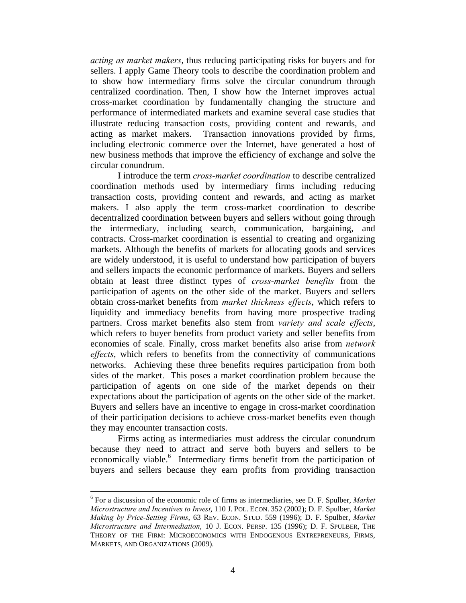*acting as market makers*, thus reducing participating risks for buyers and for sellers. I apply Game Theory tools to describe the coordination problem and to show how intermediary firms solve the circular conundrum through centralized coordination. Then, I show how the Internet improves actual cross-market coordination by fundamentally changing the structure and performance of intermediated markets and examine several case studies that illustrate reducing transaction costs, providing content and rewards, and acting as market makers. Transaction innovations provided by firms, including electronic commerce over the Internet, have generated a host of new business methods that improve the efficiency of exchange and solve the circular conundrum.

I introduce the term *cross-market coordination* to describe centralized coordination methods used by intermediary firms including reducing transaction costs, providing content and rewards, and acting as market makers. I also apply the term cross-market coordination to describe decentralized coordination between buyers and sellers without going through the intermediary, including search, communication, bargaining, and contracts. Cross-market coordination is essential to creating and organizing markets. Although the benefits of markets for allocating goods and services are widely understood, it is useful to understand how participation of buyers and sellers impacts the economic performance of markets. Buyers and sellers obtain at least three distinct types of *cross-market benefits* from the participation of agents on the other side of the market. Buyers and sellers obtain cross-market benefits from *market thickness effects*, which refers to liquidity and immediacy benefits from having more prospective trading partners. Cross market benefits also stem from *variety and scale effects*, which refers to buyer benefits from product variety and seller benefits from economies of scale. Finally, cross market benefits also arise from *network effects*, which refers to benefits from the connectivity of communications networks. Achieving these three benefits requires participation from both sides of the market. This poses a market coordination problem because the participation of agents on one side of the market depends on their expectations about the participation of agents on the other side of the market. Buyers and sellers have an incentive to engage in cross-market coordination of their participation decisions to achieve cross-market benefits even though they may encounter transaction costs.

Firms acting as intermediaries must address the circular conundrum because they need to attract and serve both buyers and sellers to be economically viable.<sup>6</sup> Intermediary firms benefit from the participation of buyers and sellers because they earn profits from providing transaction

<sup>6</sup> For a discussion of the economic role of firms as intermediaries, see D. F. Spulber, *Market Microstructure and Incentives to Invest*, 110 J. POL. ECON. 352 (2002); D. F. Spulber, *Market Making by Price-Setting Firms*, 63 REV. ECON. STUD. 559 (1996); D. F. Spulber, *Market Microstructure and Intermediation*, 10 J. ECON. PERSP. 135 (1996); D. F. SPULBER, THE THEORY OF THE FIRM: MICROECONOMICS WITH ENDOGENOUS ENTREPRENEURS, FIRMS, MARKETS, AND ORGANIZATIONS (2009).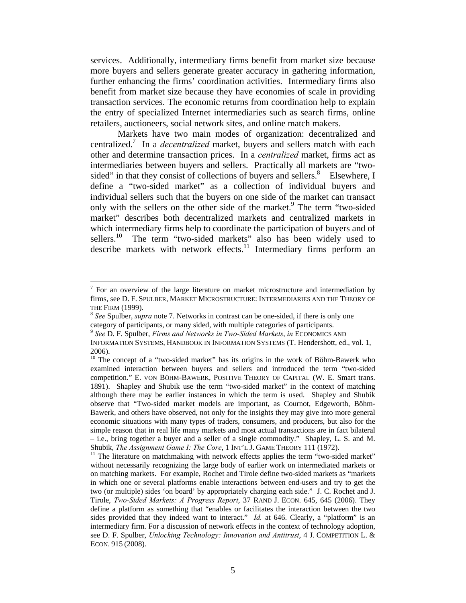services. Additionally, intermediary firms benefit from market size because more buyers and sellers generate greater accuracy in gathering information, further enhancing the firms' coordination activities. Intermediary firms also benefit from market size because they have economies of scale in providing transaction services. The economic returns from coordination help to explain the entry of specialized Internet intermediaries such as search firms, online retailers, auctioneers, social network sites, and online match makers.

Markets have two main modes of organization: decentralized and centralized.7 In a *decentralized* market, buyers and sellers match with each other and determine transaction prices. In a *centralized* market, firms act as intermediaries between buyers and sellers. Practically all markets are "twosided" in that they consist of collections of buyers and sellers.<sup>8</sup> Elsewhere, I define a "two-sided market" as a collection of individual buyers and individual sellers such that the buyers on one side of the market can transact only with the sellers on the other side of the market.<sup>9</sup> The term "two-sided" market" describes both decentralized markets and centralized markets in which intermediary firms help to coordinate the participation of buyers and of sellers.<sup>10</sup> The term "two-sided markets" also has been widely used to describe markets with network effects.<sup>11</sup> Intermediary firms perform an

<u>.</u>

 $<sup>7</sup>$  For an overview of the large literature on market microstructure and intermediation by</sup> firms, see D. F. SPULBER, MARKET MICROSTRUCTURE: INTERMEDIARIES AND THE THEORY OF

THE FIRM (1999).<br><sup>8</sup> *See* Spulber, *supra* note 7. Networks in contrast can be one-sided, if there is only one category of participants, or many sided, with multiple categories of participants. 9 *See* D. F. Spulber, *Firms and Networks in Two-Sided Markets*, *in* ECONOMICS AND

INFORMATION SYSTEMS, HANDBOOK IN INFORMATION SYSTEMS (T. Hendershott, ed., vol. 1, 2006).

<sup>&</sup>lt;sup>10</sup> The concept of a "two-sided market" has its origins in the work of Böhm-Bawerk who examined interaction between buyers and sellers and introduced the term "two-sided competition." E. VON BÖHM-BAWERK, POSITIVE THEORY OF CAPITAL (W. E. Smart trans. 1891). Shapley and Shubik use the term "two-sided market" in the context of matching although there may be earlier instances in which the term is used. Shapley and Shubik observe that "Two-sided market models are important, as Cournot, Edgeworth, Böhm-Bawerk, and others have observed, not only for the insights they may give into more general economic situations with many types of traders, consumers, and producers, but also for the simple reason that in real life many markets and most actual transactions are in fact bilateral – i.e., bring together a buyer and a seller of a single commodity." Shapley, L. S. and M.

Shubik, *The Assignment Game I: The Core*, 1 INT'L J. GAME THEORY 111 (1972).<br><sup>11</sup> The literature on matchmaking with network effects applies the term "two-sided market" without necessarily recognizing the large body of earlier work on intermediated markets or on matching markets. For example, Rochet and Tirole define two-sided markets as "markets in which one or several platforms enable interactions between end-users and try to get the two (or multiple) sides 'on board' by appropriately charging each side." J. C. Rochet and J. Tirole, *Two-Sided Markets: A Progress Report*, 37 RAND J. ECON. 645, 645 (2006). They define a platform as something that "enables or facilitates the interaction between the two sides provided that they indeed want to interact." *Id.* at 646. Clearly, a "platform" is an intermediary firm. For a discussion of network effects in the context of technology adoption, see D. F. Spulber, *Unlocking Technology: Innovation and Antitrust*, 4 J. COMPETITION L. & ECON. 915 (2008).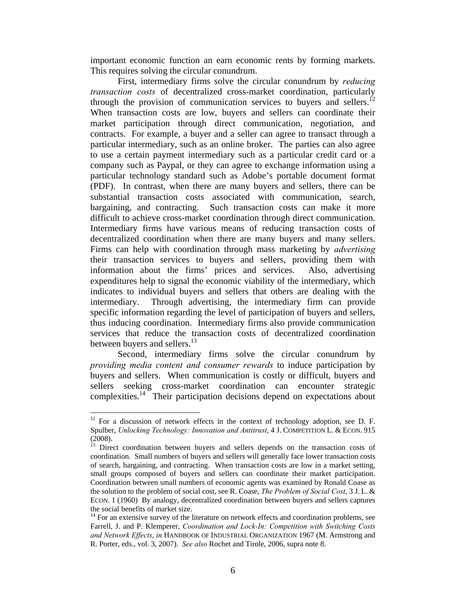important economic function an earn economic rents by forming markets. This requires solving the circular conundrum.

First, intermediary firms solve the circular conundrum by *reducing transaction costs* of decentralized cross-market coordination, particularly through the provision of communication services to buyers and sellers.<sup>12</sup> When transaction costs are low, buyers and sellers can coordinate their market participation through direct communication, negotiation, and contracts. For example, a buyer and a seller can agree to transact through a particular intermediary, such as an online broker. The parties can also agree to use a certain payment intermediary such as a particular credit card or a company such as Paypal, or they can agree to exchange information using a particular technology standard such as Adobe's portable document format (PDF). In contrast, when there are many buyers and sellers, there can be substantial transaction costs associated with communication, search, bargaining, and contracting. Such transaction costs can make it more difficult to achieve cross-market coordination through direct communication. Intermediary firms have various means of reducing transaction costs of decentralized coordination when there are many buyers and many sellers. Firms can help with coordination through mass marketing by *advertising* their transaction services to buyers and sellers, providing them with information about the firms' prices and services. Also, advertising expenditures help to signal the economic viability of the intermediary, which indicates to individual buyers and sellers that others are dealing with the intermediary. Through advertising, the intermediary firm can provide specific information regarding the level of participation of buyers and sellers, thus inducing coordination. Intermediary firms also provide communication services that reduce the transaction costs of decentralized coordination between buyers and sellers.<sup>13</sup>

Second, intermediary firms solve the circular conundrum by *providing media content and consumer rewards* to induce participation by buyers and sellers. When communication is costly or difficult, buyers and sellers seeking cross-market coordination can encounter strategic complexities.<sup>14</sup> Their participation decisions depend on expectations about

 $12$  For a discussion of network effects in the context of technology adoption, see D. F. Spulber, *Unlocking Technology: Innovation and Antitrust*, 4 J. COMPETITION L. & ECON. 915  $(2008)$ .<br><sup>13</sup> Direct coordination between buyers and sellers depends on the transaction costs of

coordination. Small numbers of buyers and sellers will generally face lower transaction costs of search, bargaining, and contracting. When transaction costs are low in a market setting, small groups composed of buyers and sellers can coordinate their market participation. Coordination between small numbers of economic agents was examined by Ronald Coase as the solution to the problem of social cost, see R. Coase, *The Problem of Social Cost*, 3 J. L. & ECON. 1 (1960) By analogy, decentralized coordination between buyers and sellers captures the social benefits of market size.

 $14$  For an extensive survey of the literature on network effects and coordination problems, see Farrell, J. and P. Klemperer, *Coordination and Lock-In: Competition with Switching Costs and Network Effects*, *in* HANDBOOK OF INDUSTRIAL ORGANIZATION 1967 (M. Armstrong and R. Porter, eds., vol. 3, 2007). *See also* Rochet and Tirole, 2006, supra note 8.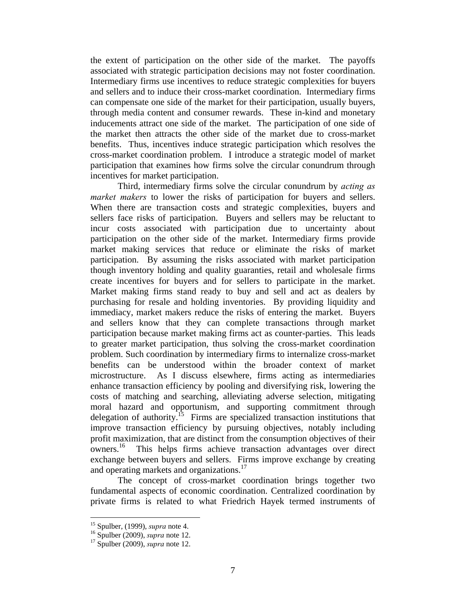the extent of participation on the other side of the market. The payoffs associated with strategic participation decisions may not foster coordination. Intermediary firms use incentives to reduce strategic complexities for buyers and sellers and to induce their cross-market coordination. Intermediary firms can compensate one side of the market for their participation, usually buyers, through media content and consumer rewards. These in-kind and monetary inducements attract one side of the market. The participation of one side of the market then attracts the other side of the market due to cross-market benefits. Thus, incentives induce strategic participation which resolves the cross-market coordination problem. I introduce a strategic model of market participation that examines how firms solve the circular conundrum through incentives for market participation.

Third, intermediary firms solve the circular conundrum by *acting as market makers* to lower the risks of participation for buyers and sellers. When there are transaction costs and strategic complexities, buyers and sellers face risks of participation. Buyers and sellers may be reluctant to incur costs associated with participation due to uncertainty about participation on the other side of the market. Intermediary firms provide market making services that reduce or eliminate the risks of market participation. By assuming the risks associated with market participation though inventory holding and quality guaranties, retail and wholesale firms create incentives for buyers and for sellers to participate in the market. Market making firms stand ready to buy and sell and act as dealers by purchasing for resale and holding inventories. By providing liquidity and immediacy, market makers reduce the risks of entering the market. Buyers and sellers know that they can complete transactions through market participation because market making firms act as counter-parties. This leads to greater market participation, thus solving the cross-market coordination problem. Such coordination by intermediary firms to internalize cross-market benefits can be understood within the broader context of market microstructure. As I discuss elsewhere, firms acting as intermediaries enhance transaction efficiency by pooling and diversifying risk, lowering the costs of matching and searching, alleviating adverse selection, mitigating moral hazard and opportunism, and supporting commitment through delegation of authority.<sup>15</sup> Firms are specialized transaction institutions that improve transaction efficiency by pursuing objectives, notably including profit maximization, that are distinct from the consumption objectives of their<br>owners.<sup>16</sup> This helps firms achieve transaction advantages over direct This helps firms achieve transaction advantages over direct exchange between buyers and sellers. Firms improve exchange by creating and operating markets and organizations.<sup>17</sup>

The concept of cross-market coordination brings together two fundamental aspects of economic coordination. Centralized coordination by private firms is related to what Friedrich Hayek termed instruments of

<sup>15</sup> Spulber, (1999), *supra* note 4. 16 Spulber (2009), *supra* note 12. 17 Spulber (2009), *supra* note 12.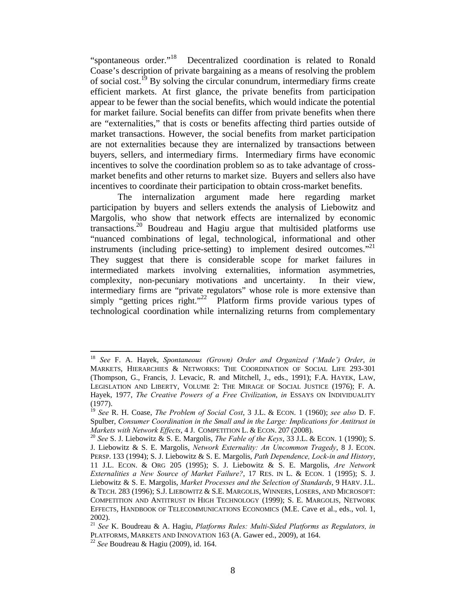"spontaneous order."18 Decentralized coordination is related to Ronald Coase's description of private bargaining as a means of resolving the problem of social cost.<sup>19</sup> By solving the circular conundrum, intermediary firms create efficient markets. At first glance, the private benefits from participation appear to be fewer than the social benefits, which would indicate the potential for market failure. Social benefits can differ from private benefits when there are "externalities," that is costs or benefits affecting third parties outside of market transactions. However, the social benefits from market participation are not externalities because they are internalized by transactions between buyers, sellers, and intermediary firms. Intermediary firms have economic incentives to solve the coordination problem so as to take advantage of crossmarket benefits and other returns to market size. Buyers and sellers also have incentives to coordinate their participation to obtain cross-market benefits.

The internalization argument made here regarding market participation by buyers and sellers extends the analysis of Liebowitz and Margolis, who show that network effects are internalized by economic transactions.<sup>20</sup> Boudreau and Hagiu argue that multisided platforms use "nuanced combinations of legal, technological, informational and other instruments (including price-setting) to implement desired outcomes."<sup>21</sup> They suggest that there is considerable scope for market failures in intermediated markets involving externalities, information asymmetries, complexity, non-pecuniary motivations and uncertainty. In their view, intermediary firms are "private regulators" whose role is more extensive than simply "getting prices right."<sup>22</sup> Platform firms provide various types of technological coordination while internalizing returns from complementary

<sup>18</sup> *See* F. A. Hayek, *Spontaneous (Grown) Order and Organized ('Made') Order*, *in* MARKETS, HIERARCHIES & NETWORKS: THE COORDINATION OF SOCIAL LIFE 293-301 (Thompson, G., Francis, J. Levacic, R. and Mitchell, J., eds., 1991); F.A. HAYEK, LAW, LEGISLATION AND LIBERTY, VOLUME 2: THE MIRAGE OF SOCIAL JUSTICE (1976); F. A. Hayek, 1977, *The Creative Powers of a Free Civilization*, *in* ESSAYS ON INDIVIDUALITY (1977).

<sup>19</sup> *See* R. H. Coase, *The Problem of Social Cost*, 3 J.L. & ECON. 1 (1960); *see also* D. F. Spulber, *Consumer Coordination in the Small and in the Large: Implications for Antitrust in* 

*Markets with Network Effects*, 4 J. COMPETITION L. & ECON. <sup>207</sup> (2008). 20 *See* S. J. Liebowitz & S. E. Margolis, *The Fable of the Keys*, 33 J.L. & ECON. 1 (1990); S. J. Liebowitz & S. E. Margolis, *Network Externality: An Uncommon Tragedy*, 8 J. ECON. PERSP. 133 (1994); S. J. Liebowitz & S. E. Margolis, *Path Dependence, Lock-in and History*, 11 J.L. ECON. & ORG 205 (1995); S. J. Liebowitz & S. E. Margolis, *Are Network Externalities a New Source of Market Failure?*, 17 RES. IN L. & ECON. 1 (1995); S. J. Liebowitz & S. E. Margolis, *Market Processes and the Selection of Standards*, 9 HARV. J.L. & TECH. 283 (1996); S.J. LIEBOWITZ & S.E. MARGOLIS, WINNERS, LOSERS, AND MICROSOFT: COMPETITION AND ANTITRUST IN HIGH TECHNOLOGY (1999); S. E. MARGOLIS, NETWORK EFFECTS, HANDBOOK OF TELECOMMUNICATIONS ECONOMICS (M.E. Cave et al., eds., vol. 1, 2002).

<sup>21</sup> *See* K. Boudreau & A. Hagiu, *Platforms Rules: Multi-Sided Platforms as Regulators, in* PLATFORMS, MARKETS AND INNOVATION 163 (A. Gawer ed., 2009), at 164. 22 *See* Boudreau & Hagiu (2009), id. 164.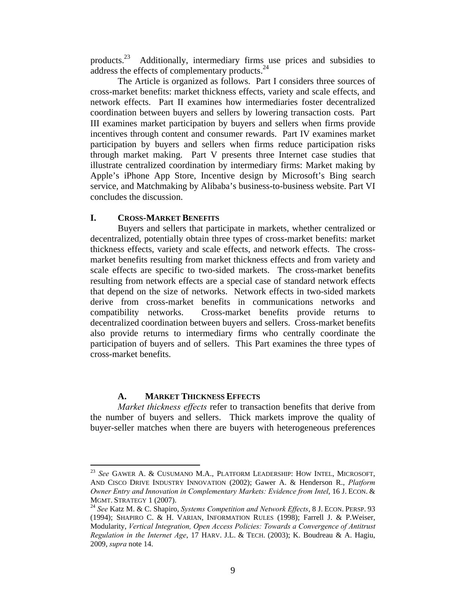products.23 Additionally, intermediary firms use prices and subsidies to address the effects of complementary products.24

The Article is organized as follows. Part I considers three sources of cross-market benefits: market thickness effects, variety and scale effects, and network effects. Part II examines how intermediaries foster decentralized coordination between buyers and sellers by lowering transaction costs. Part III examines market participation by buyers and sellers when firms provide incentives through content and consumer rewards. Part IV examines market participation by buyers and sellers when firms reduce participation risks through market making. Part V presents three Internet case studies that illustrate centralized coordination by intermediary firms: Market making by Apple's iPhone App Store, Incentive design by Microsoft's Bing search service, and Matchmaking by Alibaba's business-to-business website. Part VI concludes the discussion.

#### **I. CROSS-MARKET BENEFITS**

Buyers and sellers that participate in markets, whether centralized or decentralized, potentially obtain three types of cross-market benefits: market thickness effects, variety and scale effects, and network effects. The crossmarket benefits resulting from market thickness effects and from variety and scale effects are specific to two-sided markets. The cross-market benefits resulting from network effects are a special case of standard network effects that depend on the size of networks. Network effects in two-sided markets derive from cross-market benefits in communications networks and compatibility networks. Cross-market benefits provide returns to decentralized coordination between buyers and sellers. Cross-market benefits also provide returns to intermediary firms who centrally coordinate the participation of buyers and of sellers. This Part examines the three types of cross-market benefits.

#### **A. MARKET THICKNESS EFFECTS**

1

*Market thickness effects* refer to transaction benefits that derive from the number of buyers and sellers. Thick markets improve the quality of buyer-seller matches when there are buyers with heterogeneous preferences

<sup>23</sup> *See* GAWER A. & CUSUMANO M.A., PLATFORM LEADERSHIP: HOW INTEL, MICROSOFT, AND CISCO DRIVE INDUSTRY INNOVATION (2002); Gawer A. & Henderson R., *Platform Owner Entry and Innovation in Complementary Markets: Evidence from Intel*, 16 J. ECON. & MGMT. STRATEGY 1 (2007). 24 *See* Katz M. & C. Shapiro, *Systems Competition and Network Effects*, 8 J. ECON. PERSP. <sup>93</sup>

<sup>(1994);</sup> SHAPIRO C. & H. VARIAN, INFORMATION RULES (1998); Farrell J. & P.Weiser, Modularity, *Vertical Integration, Open Access Policies: Towards a Convergence of Antitrust Regulation in the Internet Age*, 17 HARV. J.L. & TECH. (2003); K. Boudreau & A. Hagiu, 2009, *supra* note 14.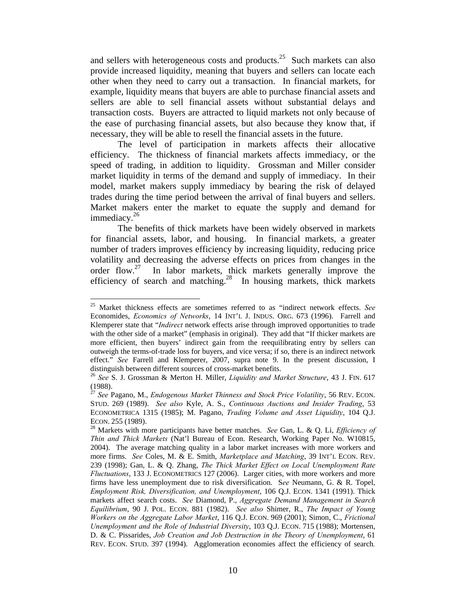and sellers with heterogeneous costs and products.<sup>25</sup> Such markets can also provide increased liquidity, meaning that buyers and sellers can locate each other when they need to carry out a transaction. In financial markets, for example, liquidity means that buyers are able to purchase financial assets and sellers are able to sell financial assets without substantial delays and transaction costs. Buyers are attracted to liquid markets not only because of the ease of purchasing financial assets, but also because they know that, if necessary, they will be able to resell the financial assets in the future.

 The level of participation in markets affects their allocative efficiency. The thickness of financial markets affects immediacy, or the speed of trading, in addition to liquidity. Grossman and Miller consider market liquidity in terms of the demand and supply of immediacy. In their model, market makers supply immediacy by bearing the risk of delayed trades during the time period between the arrival of final buyers and sellers. Market makers enter the market to equate the supply and demand for immediacy. $26$ 

 The benefits of thick markets have been widely observed in markets for financial assets, labor, and housing. In financial markets, a greater number of traders improves efficiency by increasing liquidity, reducing price volatility and decreasing the adverse effects on prices from changes in the order  $flow<sup>27</sup>$  In labor markets, thick markets generally improve the In labor markets, thick markets generally improve the efficiency of search and matching.<sup>28</sup> In housing markets, thick markets

<sup>1</sup> 25 Market thickness effects are sometimes referred to as "indirect network effects. *See* Economides, *Economics of Networks*, 14 INT'L J. INDUS. ORG. 673 (1996). Farrell and Klemperer state that "*Indirect* network effects arise through improved opportunities to trade with the other side of a market" (emphasis in original). They add that "If thicker markets are more efficient, then buyers' indirect gain from the reequilibrating entry by sellers can outweigh the terms-of-trade loss for buyers, and vice versa; if so, there is an indirect network effect." *See* Farrell and Klemperer, 2007, supra note 9. In the present discussion, I distinguish between different sources of cross-market benefits.

<sup>26</sup> *See* S. J. Grossman & Merton H. Miller, *Liquidity and Market Structure*, 43 J. FIN. 617 (1988).

<sup>27</sup> *See* Pagano, M., *Endogenous Market Thinness and Stock Price Volatility*, 56 REV. ECON. STUD. 269 (1989). *See also* Kyle, A. S., *Continuous Auctions and Insider Trading*, 53 ECONOMETRICA 1315 (1985); M. Pagano, *Trading Volume and Asset Liquidity*, 104 Q.J. ECON. 255 (1989).<br><sup>28</sup> Markets with more participants have better matches. *See* Gan, L. & Q. Li, *Efficiency of* 

*Thin and Thick Markets* (Nat'l Bureau of Econ. Research, Working Paper No. W10815, 2004). The average matching quality in a labor market increases with more workers and more firms. *See* Coles, M. & E. Smith, *Marketplace and Matching*, 39 INT'L ECON. REV. 239 (1998); Gan, L. & Q. Zhang, *The Thick Market Effect on Local Unemployment Rate Fluctuations*, 133 J. ECONOMETRICS 127 (2006). Larger cities, with more workers and more firms have less unemployment due to risk diversification. S*ee* Neumann, G. & R. Topel, *Employment Risk, Diversification, and Unemployment*, 106 Q.J. ECON. 1341 (1991). Thick markets affect search costs. *See* Diamond, P., *Aggregate Demand Management in Search Equilibrium*, 90 J. POL. ECON. 881 (1982). *See also* Shimer, R., *The Impact of Young Workers on the Aggregate Labor Market*, 116 Q.J. ECON. 969 (2001); Simon, C., *Frictional Unemployment and the Role of Industrial Diversity*, 103 Q.J. ECON. 715 (1988); Mortensen, D. & C. Pissarides, *Job Creation and Job Destruction in the Theory of Unemployment*, 61 REV. ECON. STUD. 397 (1994). Agglomeration economies affect the efficiency of search*.*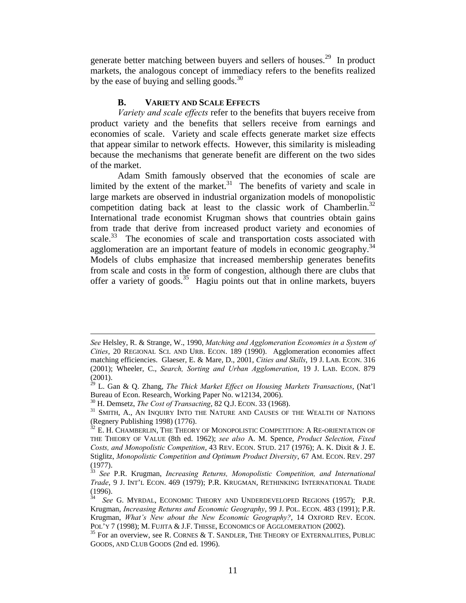generate better matching between buyers and sellers of houses.29 In product markets, the analogous concept of immediacy refers to the benefits realized by the ease of buying and selling goods.<sup>30</sup>

## **B. VARIETY AND SCALE EFFECTS**

 *Variety and scale effects* refer to the benefits that buyers receive from product variety and the benefits that sellers receive from earnings and economies of scale. Variety and scale effects generate market size effects that appear similar to network effects. However, this similarity is misleading because the mechanisms that generate benefit are different on the two sides of the market.

Adam Smith famously observed that the economies of scale are limited by the extent of the market.<sup>31</sup> The benefits of variety and scale in large markets are observed in industrial organization models of monopolistic competition dating back at least to the classic work of Chamberlin.<sup>32</sup> International trade economist Krugman shows that countries obtain gains from trade that derive from increased product variety and economies of scale.<sup>33</sup> The economies of scale and transportation costs associated with agglomeration are an important feature of models in economic geography.<sup>34</sup> Models of clubs emphasize that increased membership generates benefits from scale and costs in the form of congestion, although there are clubs that offer a variety of goods.<sup>35</sup> Hagiu points out that in online markets, buyers

*See* Helsley, R. & Strange, W., 1990, *Matching and Agglomeration Economies in a System of Cities*, 20 REGIONAL SCI. AND URB. ECON. 189 (1990). Agglomeration economies affect matching efficiencies. Glaeser, E. & Mare, D., 2001, *Cities and Skills*, 19 J. LAB. ECON. 316 (2001); Wheeler, C., *Search, Sorting and Urban Agglomeration*, 19 J. LAB. ECON. 879 (2001).

<sup>29</sup> L. Gan & Q. Zhang, *The Thick Market Effect on Housing Markets Transactions*, (Nat'l Bureau of Econ. Research, Working Paper No. w12134, 2006).

<sup>&</sup>lt;sup>30</sup> H. Demsetz, *The Cost of Transacting*, 82 Q.J. ECON. 33 (1968).<br><sup>31</sup> SMITH, A., AN INQUIRY INTO THE NATURE AND CAUSES OF THE WEALTH OF NATIONS (Regnery Publishing 1998) (1776).

 $32$  E. H. CHAMBERLIN, THE THEORY OF MONOPOLISTIC COMPETITION: A RE-ORIENTATION OF THE THEORY OF VALUE (8th ed. 1962); *see also* A. M. Spence, *Product Selection, Fixed Costs, and Monopolistic Competition*, 43 REV. ECON. STUD. 217 (1976); A. K. Dixit & J. E. Stiglitz, *Monopolistic Competition and Optimum Product Diversity*, 67 AM. ECON. REV. 297 (1977).

<sup>33</sup> *See* P.R. Krugman, *Increasing Returns, Monopolistic Competition, and International Trade*, 9 J. INT'L ECON. 469 (1979); P.R. KRUGMAN, RETHINKING INTERNATIONAL TRADE (1996).

See G. MYRDAL, ECONOMIC THEORY AND UNDERDEVELOPED REGIONS (1957); P.R. Krugman, *Increasing Returns and Economic Geography*, 99 J. POL. ECON. 483 (1991); P.R. Krugman, *What's New about the New Economic Geography?*, 14 OXFORD REV. ECON. POL'Y 7 (1998); M. FUJITA & J.F. THISSE, ECONOMICS OF AGGLOMERATION (2002).<br><sup>35</sup> For an overview, see R. CORNES & T. SANDLER, THE THEORY OF EXTERNALITIES, PUBLIC

GOODS, AND CLUB GOODS (2nd ed. 1996).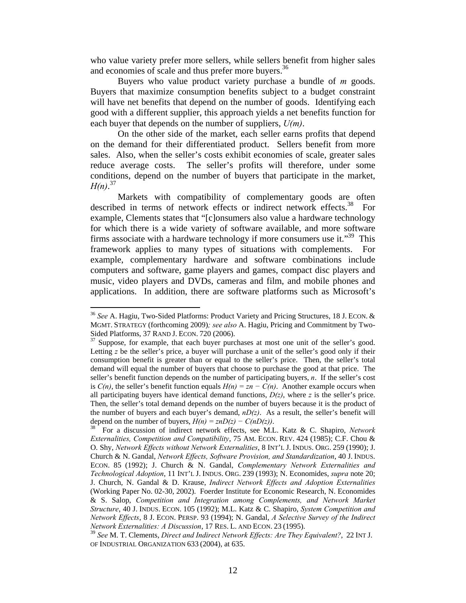who value variety prefer more sellers, while sellers benefit from higher sales and economies of scale and thus prefer more buyers.<sup>36</sup>

Buyers who value product variety purchase a bundle of *m* goods. Buyers that maximize consumption benefits subject to a budget constraint will have net benefits that depend on the number of goods. Identifying each good with a different supplier, this approach yields a net benefits function for each buyer that depends on the number of suppliers, *U(m)*.

On the other side of the market, each seller earns profits that depend on the demand for their differentiated product. Sellers benefit from more sales. Also, when the seller's costs exhibit economies of scale, greater sales reduce average costs. The seller's profits will therefore, under some conditions, depend on the number of buyers that participate in the market, *H(n)*. 37

Markets with compatibility of complementary goods are often<br>ed in terms of network effects or indirect network effects<sup>38</sup> For described in terms of network effects or indirect network effects.<sup>38</sup> example, Clements states that "[c]onsumers also value a hardware technology for which there is a wide variety of software available, and more software firms associate with a hardware technology if more consumers use it."<sup>39</sup> This framework applies to many types of situations with complements. For example, complementary hardware and software combinations include computers and software, game players and games, compact disc players and music, video players and DVDs, cameras and film, and mobile phones and applications. In addition, there are software platforms such as Microsoft's

<sup>36</sup> *See* A. Hagiu, Two-Sided Platforms: Product Variety and Pricing Structures, 18 J. ECON. & MGMT. STRATEGY (forthcoming 2009)*; see also* A. Hagiu, Pricing and Commitment by Two-Sided Platforms, 37 RAND J. ECON. 720 (2006).<br><sup>37</sup> Suppose, for example, that each buyer purchases at most one unit of the seller's good.

Letting *z* be the seller's price, a buyer will purchase a unit of the seller's good only if their consumption benefit is greater than or equal to the seller's price. Then, the seller's total demand will equal the number of buyers that choose to purchase the good at that price. The seller's benefit function depends on the number of participating buyers, *n*. If the seller's cost is  $C(n)$ , the seller's benefit function equals  $H(n) = zn - C(n)$ . Another example occurs when all participating buyers have identical demand functions,  $D(z)$ , where *z* is the seller's price. Then, the seller's total demand depends on the number of buyers because it is the product of the number of buyers and each buyer's demand,  $nD(z)$ . As a result, the seller's benefit will depend on the number of buyers,  $H(n) = znD(z) - C(nD(z))$ .<br><sup>38</sup> For a discussion of indirect network effects, see M.L. Katz & C. Shapiro, *Network* 

*Externalities, Competition and Compatibility*, 75 AM. ECON. REV. 424 (1985); C.F. Chou & O. Shy, *Network Effects without Network Externalities*, 8 INT'L J. INDUS. ORG. 259 (1990); J. Church & N. Gandal, *Network Effects, Software Provision, and Standardization*, 40 J. INDUS. ECON. 85 (1992); J. Church & N. Gandal, *Complementary Network Externalities and Technological Adoption*, 11 INT'L J. INDUS. ORG. 239 (1993); N. Economides, *supra* note 20; J. Church, N. Gandal & D. Krause, *Indirect Network Effects and Adoption Externalities* (Working Paper No. 02-30, 2002). Foerder Institute for Economic Research, N. Economides & S. Salop, *Competition and Integration among Complements, and Network Market Structure*, 40 J. INDUS. ECON. 105 (1992); M.L. Katz & C. Shapiro, *System Competition and Network Effects*, 8 J. ECON. PERSP. 93 (1994); N. Gandal, *A Selective Survey of the Indirect Network Externalities: A Discussion*, 17 RES. L. AND ECON. 23 (1995).

<sup>39</sup> *See* M. T. Clements, *Direct and Indirect Network Effects: Are They Equivalent?*, 22 INT J. OF INDUSTRIAL ORGANIZATION 633 (2004), at 635.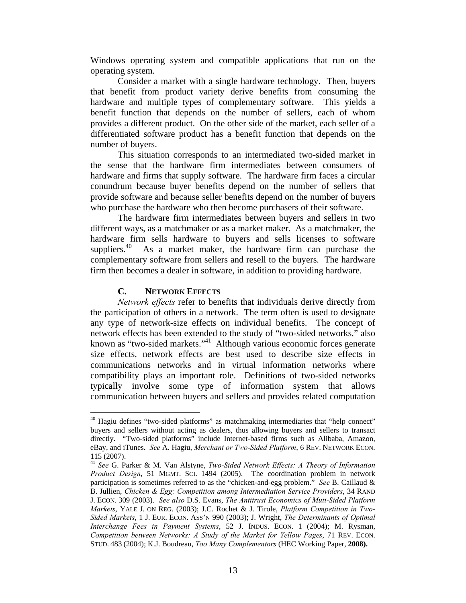Windows operating system and compatible applications that run on the operating system.

 Consider a market with a single hardware technology. Then, buyers that benefit from product variety derive benefits from consuming the hardware and multiple types of complementary software. This yields a benefit function that depends on the number of sellers, each of whom provides a different product. On the other side of the market, each seller of a differentiated software product has a benefit function that depends on the number of buyers.

 This situation corresponds to an intermediated two-sided market in the sense that the hardware firm intermediates between consumers of hardware and firms that supply software. The hardware firm faces a circular conundrum because buyer benefits depend on the number of sellers that provide software and because seller benefits depend on the number of buyers who purchase the hardware who then become purchasers of their software.

The hardware firm intermediates between buyers and sellers in two different ways, as a matchmaker or as a market maker. As a matchmaker, the hardware firm sells hardware to buyers and sells licenses to software suppliers.<sup>40</sup> As a market maker, the hardware firm can purchase the complementary software from sellers and resell to the buyers. The hardware firm then becomes a dealer in software, in addition to providing hardware.

#### **C. NETWORK EFFECTS**

1

*Network effects* refer to benefits that individuals derive directly from the participation of others in a network. The term often is used to designate any type of network-size effects on individual benefits. The concept of network effects has been extended to the study of "two-sided networks," also known as "two-sided markets."41 Although various economic forces generate size effects, network effects are best used to describe size effects in communications networks and in virtual information networks where compatibility plays an important role. Definitions of two-sided networks typically involve some type of information system that allows communication between buyers and sellers and provides related computation

 $40$  Hagiu defines "two-sided platforms" as matchmaking intermediaries that "help connect" buyers and sellers without acting as dealers, thus allowing buyers and sellers to transact directly. "Two-sided platforms" include Internet-based firms such as Alibaba, Amazon, eBay, and iTunes. *See* A. Hagiu, *Merchant or Two-Sided Platform*, 6 REV. NETWORK ECON. 115 (2007).

<sup>41</sup> *See* G. Parker & M. Van Alstyne, *Two-Sided Network Effects: A Theory of Information Product Design*, 51 MGMT. SCI. 1494 (2005). The coordination problem in network participation is sometimes referred to as the "chicken-and-egg problem." *See* B. Caillaud & B. Jullien, *Chicken & Egg: Competition among Intermediation Service Providers*, 34 RAND J. ECON. 309 (2003). *See also* D.S. Evans, *The Antitrust Economics of Muti-Sided Platform Markets*, YALE J. ON REG. (2003); J.C. Rochet & J. Tirole, *Platform Competition in Two-Sided Markets*, 1 J. EUR. ECON. ASS'N 990 (2003); J. Wright, *The Determinants of Optimal Interchange Fees in Payment Systems*, 52 J. INDUS. ECON. 1 (2004); M. Rysman, *Competition between Networks: A Study of the Market for Yellow Pages*, 71 REV. ECON. STUD. 483 (2004); K.J. Boudreau, *Too Many Complementors* (HEC Working Paper, **2008).**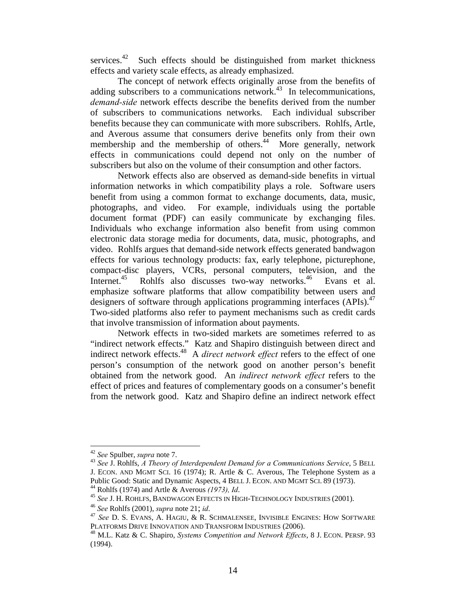services. $42$  Such effects should be distinguished from market thickness effects and variety scale effects, as already emphasized.

The concept of network effects originally arose from the benefits of adding subscribers to a communications network.<sup>43</sup> In telecommunications, *demand-side* network effects describe the benefits derived from the number of subscribers to communications networks. Each individual subscriber benefits because they can communicate with more subscribers. Rohlfs, Artle, and Averous assume that consumers derive benefits only from their own membership and the membership of others.<sup>44</sup> More generally, network effects in communications could depend not only on the number of subscribers but also on the volume of their consumption and other factors.

Network effects also are observed as demand-side benefits in virtual information networks in which compatibility plays a role. Software users benefit from using a common format to exchange documents, data, music, photographs, and video. For example, individuals using the portable document format (PDF) can easily communicate by exchanging files. Individuals who exchange information also benefit from using common electronic data storage media for documents, data, music, photographs, and video. Rohlfs argues that demand-side network effects generated bandwagon effects for various technology products: fax, early telephone, picturephone, compact-disc players, VCRs, personal computers, television, and the Internet.<sup>45</sup> Rohlfs also discusses two-way networks.<sup>46</sup> Evans et al. emphasize software platforms that allow compatibility between users and designers of software through applications programming interfaces (APIs).<sup>47</sup> Two-sided platforms also refer to payment mechanisms such as credit cards that involve transmission of information about payments.

 Network effects in two-sided markets are sometimes referred to as "indirect network effects." Katz and Shapiro distinguish between direct and indirect network effects.<sup>48</sup> A *direct network effect* refers to the effect of one person's consumption of the network good on another person's benefit obtained from the network good. An *indirect network effect* refers to the effect of prices and features of complementary goods on a consumer's benefit from the network good. Katz and Shapiro define an indirect network effect

<sup>&</sup>lt;sup>42</sup> See Spulber, *supra* note 7.

<sup>&</sup>lt;sup>43</sup> See J. Rohlfs, *A Theory of Interdependent Demand for a Communications Service*, 5 BELL J. ECON. AND MGMT SCI. 16 (1974); R. Artle & C. Averous, The Telephone System as a

Public Good: Static and Dynamic Aspects, 4 BELL J. ECON. AND MGMT SCI. 89 (1973).<br><sup>44</sup> Rohlfs (1974) and Artle & Averous *(1973), Id.*<br><sup>45</sup> See J. H. ROHLFS, BANDWAGON EFFECTS IN HIGH-TECHNOLOGY INDUSTRIES (2001).<br><sup>46</sup> See

<sup>&</sup>lt;sup>48</sup> M.L. Katz & C. Shapiro, *Systems Competition and Network Effects*, 8 J. ECON. PERSP. 93 (1994).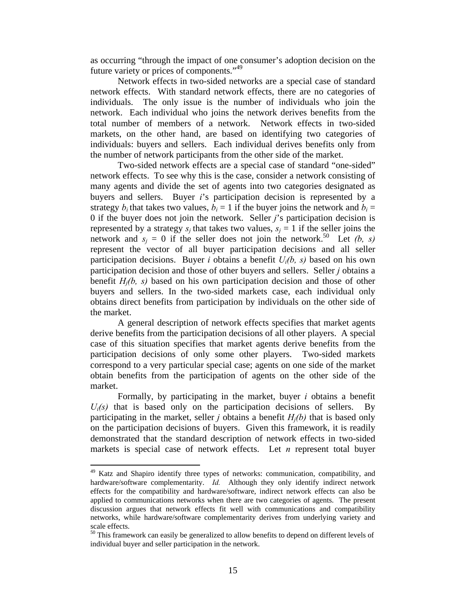as occurring "through the impact of one consumer's adoption decision on the future variety or prices of components."<sup>49</sup>

 Network effects in two-sided networks are a special case of standard network effects. With standard network effects, there are no categories of individuals. The only issue is the number of individuals who join the network. Each individual who joins the network derives benefits from the total number of members of a network. Network effects in two-sided markets, on the other hand, are based on identifying two categories of individuals: buyers and sellers. Each individual derives benefits only from the number of network participants from the other side of the market.

Two-sided network effects are a special case of standard "one-sided" network effects. To see why this is the case, consider a network consisting of many agents and divide the set of agents into two categories designated as buyers and sellers. Buyer *i*'s participation decision is represented by a strategy  $b_i$  that takes two values,  $b_i = 1$  if the buyer joins the network and  $b_i =$ 0 if the buyer does not join the network. Seller *j*'s participation decision is represented by a strategy  $s_i$  that takes two values,  $s_i = 1$  if the seller joins the network and  $s_i = 0$  if the seller does not join the network.<sup>50</sup> Let *(b, s)* represent the vector of all buyer participation decisions and all seller participation decisions. Buyer *i* obtains a benefit *Ui(b, s)* based on his own participation decision and those of other buyers and sellers. Seller *j* obtains a benefit *Hj(b, s)* based on his own participation decision and those of other buyers and sellers. In the two-sided markets case, each individual only obtains direct benefits from participation by individuals on the other side of the market.

 A general description of network effects specifies that market agents derive benefits from the participation decisions of all other players. A special case of this situation specifies that market agents derive benefits from the participation decisions of only some other players. Two-sided markets correspond to a very particular special case; agents on one side of the market obtain benefits from the participation of agents on the other side of the market.

 Formally, by participating in the market, buyer *i* obtains a benefit  $U_i(s)$  that is based only on the participation decisions of sellers. By participating in the market, seller *j* obtains a benefit  $H_i(b)$  that is based only on the participation decisions of buyers. Given this framework, it is readily demonstrated that the standard description of network effects in two-sided markets is special case of network effects. Let *n* represent total buyer

<sup>&</sup>lt;sup>49</sup> Katz and Shapiro identify three types of networks: communication, compatibility, and hardware/software complementarity. *Id.* Although they only identify indirect network effects for the compatibility and hardware/software, indirect network effects can also be applied to communications networks when there are two categories of agents. The present discussion argues that network effects fit well with communications and compatibility networks, while hardware/software complementarity derives from underlying variety and scale effects.

<sup>&</sup>lt;sup>50</sup> This framework can easily be generalized to allow benefits to depend on different levels of individual buyer and seller participation in the network.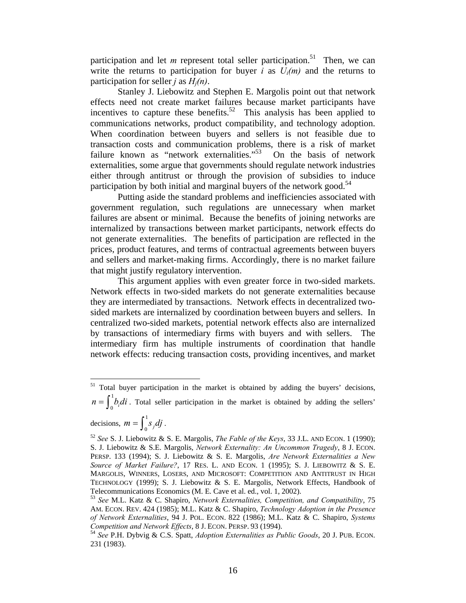participation and let  $m$  represent total seller participation.<sup>51</sup> Then, we can write the returns to participation for buyer *i* as  $U_i(m)$  and the returns to participation for seller *j* as  $H_i(n)$ .

 Stanley J. Liebowitz and Stephen E. Margolis point out that network effects need not create market failures because market participants have incentives to capture these benefits.<sup>52</sup> This analysis has been applied to communications networks, product compatibility, and technology adoption. When coordination between buyers and sellers is not feasible due to transaction costs and communication problems, there is a risk of market failure known as "network externalities."<sup>53</sup> On the basis of network externalities, some argue that governments should regulate network industries either through antitrust or through the provision of subsidies to induce participation by both initial and marginal buyers of the network good.<sup>54</sup>

 Putting aside the standard problems and inefficiencies associated with government regulation, such regulations are unnecessary when market failures are absent or minimal. Because the benefits of joining networks are internalized by transactions between market participants, network effects do not generate externalities. The benefits of participation are reflected in the prices, product features, and terms of contractual agreements between buyers and sellers and market-making firms. Accordingly, there is no market failure that might justify regulatory intervention.

 This argument applies with even greater force in two-sided markets. Network effects in two-sided markets do not generate externalities because they are intermediated by transactions. Network effects in decentralized twosided markets are internalized by coordination between buyers and sellers. In centralized two-sided markets, potential network effects also are internalized by transactions of intermediary firms with buyers and with sellers. The intermediary firm has multiple instruments of coordination that handle network effects: reducing transaction costs, providing incentives, and market

 $51$  Total buyer participation in the market is obtained by adding the buyers' decisions,

 $n = \int_0^1 b_i \, di$ . Total seller participation in the market is obtained by adding the sellers'

decisions,  $m = \int_0^1 s_j dj$ .

<sup>52</sup> *See* S. J. Liebowitz & S. E. Margolis, *The Fable of the Keys*, 33 J.L. AND ECON. 1 (1990); S. J. Liebowitz & S.E. Margolis, *Network Externality: An Uncommon Tragedy*, 8 J. ECON. PERSP. 133 (1994); S. J. Liebowitz & S. E. Margolis, *Are Network Externalities a New Source of Market Failure?*, 17 RES. L. AND ECON. 1 (1995); S. J. LIEBOWITZ & S. E. MARGOLIS, WINNERS, LOSERS, AND MICROSOFT: COMPETITION AND ANTITRUST IN HIGH TECHNOLOGY (1999); S. J. Liebowitz & S. E. Margolis, Network Effects, Handbook of Telecommunications Economics (M. E. Cave et al. ed., vol. 1, 2002). 53 *See* M.L. Katz & C. Shapiro, *Network Externalities, Competition, and Compatibility*, 75

AM. ECON. REV. 424 (1985); M.L. Katz & C. Shapiro, *Technology Adoption in the Presence of Network Externalities*, 94 J. POL. ECON. 822 (1986); M.L. Katz & C. Shapiro, *Systems Competition and Network Effects*, 8 J. ECON. PERSP. 93 (1994). 54 *See* P.H. Dybvig & C.S. Spatt, *Adoption Externalities as Public Goods*, 20 J. PUB. ECON.

<sup>231 (1983).</sup>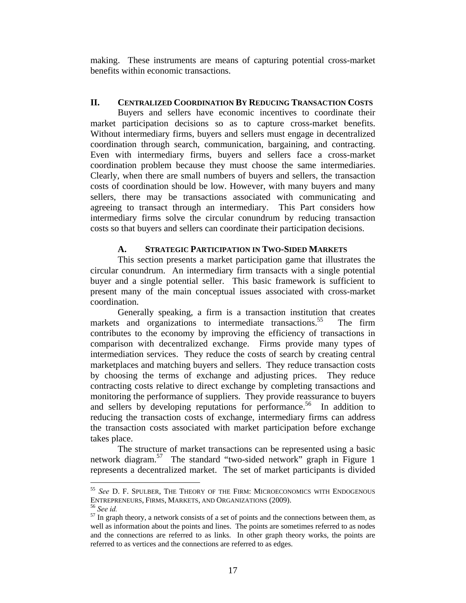making. These instruments are means of capturing potential cross-market benefits within economic transactions.

## **II. CENTRALIZED COORDINATION BY REDUCING TRANSACTION COSTS**

Buyers and sellers have economic incentives to coordinate their market participation decisions so as to capture cross-market benefits. Without intermediary firms, buyers and sellers must engage in decentralized coordination through search, communication, bargaining, and contracting. Even with intermediary firms, buyers and sellers face a cross-market coordination problem because they must choose the same intermediaries. Clearly, when there are small numbers of buyers and sellers, the transaction costs of coordination should be low. However, with many buyers and many sellers, there may be transactions associated with communicating and agreeing to transact through an intermediary. This Part considers how intermediary firms solve the circular conundrum by reducing transaction costs so that buyers and sellers can coordinate their participation decisions.

#### **A. STRATEGIC PARTICIPATION IN TWO-SIDED MARKETS**

This section presents a market participation game that illustrates the circular conundrum. An intermediary firm transacts with a single potential buyer and a single potential seller. This basic framework is sufficient to present many of the main conceptual issues associated with cross-market coordination.

Generally speaking, a firm is a transaction institution that creates markets and organizations to intermediate transactions.<sup>55</sup> The firm contributes to the economy by improving the efficiency of transactions in comparison with decentralized exchange. Firms provide many types of intermediation services. They reduce the costs of search by creating central marketplaces and matching buyers and sellers. They reduce transaction costs by choosing the terms of exchange and adjusting prices. They reduce contracting costs relative to direct exchange by completing transactions and monitoring the performance of suppliers. They provide reassurance to buyers and sellers by developing reputations for performance.<sup>56</sup> In addition to reducing the transaction costs of exchange, intermediary firms can address the transaction costs associated with market participation before exchange takes place.

The structure of market transactions can be represented using a basic network diagram.57 The standard "two-sided network" graph in Figure 1 represents a decentralized market. The set of market participants is divided

<u>.</u>

<sup>&</sup>lt;sup>55</sup> See D. F. Spulber, The Theory of the Firm: Microeconomics with Endogenous Entrepreneurs, Firms, Markets, and Organizations (2009).

<sup>&</sup>lt;sup>56</sup> See *id.* <sup>57</sup> In graph theory, a network consists of a set of points and the connections between them, as <sup>57</sup> In graph theory, a network consists of a set of points and the connections between them, as well as information about the points and lines. The points are sometimes referred to as nodes and the connections are referred to as links. In other graph theory works, the points are referred to as vertices and the connections are referred to as edges.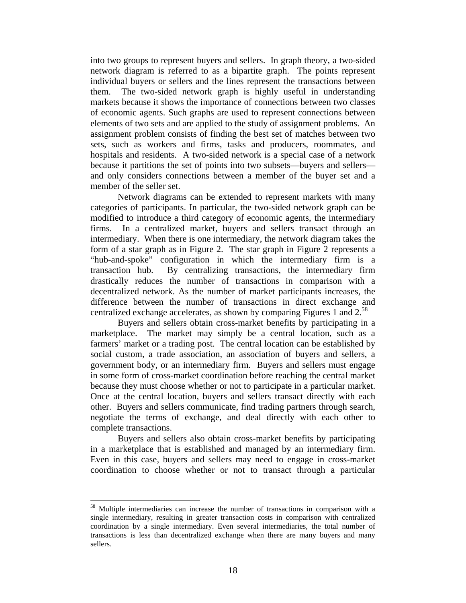into two groups to represent buyers and sellers. In graph theory, a two-sided network diagram is referred to as a bipartite graph. The points represent individual buyers or sellers and the lines represent the transactions between them. The two-sided network graph is highly useful in understanding markets because it shows the importance of connections between two classes of economic agents. Such graphs are used to represent connections between elements of two sets and are applied to the study of assignment problems. An assignment problem consists of finding the best set of matches between two sets, such as workers and firms, tasks and producers, roommates, and hospitals and residents. A two-sided network is a special case of a network because it partitions the set of points into two subsets—buyers and sellers and only considers connections between a member of the buyer set and a member of the seller set.

Network diagrams can be extended to represent markets with many categories of participants. In particular, the two-sided network graph can be modified to introduce a third category of economic agents, the intermediary firms. In a centralized market, buyers and sellers transact through an intermediary. When there is one intermediary, the network diagram takes the form of a star graph as in Figure 2. The star graph in Figure 2 represents a "hub-and-spoke" configuration in which the intermediary firm is a transaction hub. By centralizing transactions, the intermediary firm drastically reduces the number of transactions in comparison with a decentralized network. As the number of market participants increases, the difference between the number of transactions in direct exchange and centralized exchange accelerates, as shown by comparing Figures 1 and 2.<sup>58</sup>

Buyers and sellers obtain cross-market benefits by participating in a marketplace. The market may simply be a central location, such as a farmers' market or a trading post. The central location can be established by social custom, a trade association, an association of buyers and sellers, a government body, or an intermediary firm. Buyers and sellers must engage in some form of cross-market coordination before reaching the central market because they must choose whether or not to participate in a particular market. Once at the central location, buyers and sellers transact directly with each other. Buyers and sellers communicate, find trading partners through search, negotiate the terms of exchange, and deal directly with each other to complete transactions.

Buyers and sellers also obtain cross-market benefits by participating in a marketplace that is established and managed by an intermediary firm. Even in this case, buyers and sellers may need to engage in cross-market coordination to choose whether or not to transact through a particular

<sup>58</sup> Multiple intermediaries can increase the number of transactions in comparison with a single intermediary, resulting in greater transaction costs in comparison with centralized coordination by a single intermediary. Even several intermediaries, the total number of transactions is less than decentralized exchange when there are many buyers and many sellers.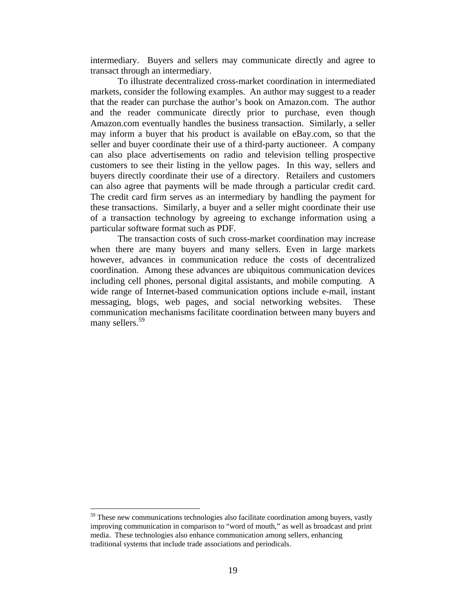intermediary. Buyers and sellers may communicate directly and agree to transact through an intermediary.

 To illustrate decentralized cross-market coordination in intermediated markets, consider the following examples. An author may suggest to a reader that the reader can purchase the author's book on Amazon.com. The author and the reader communicate directly prior to purchase, even though Amazon.com eventually handles the business transaction. Similarly, a seller may inform a buyer that his product is available on eBay.com, so that the seller and buyer coordinate their use of a third-party auctioneer. A company can also place advertisements on radio and television telling prospective customers to see their listing in the yellow pages. In this way, sellers and buyers directly coordinate their use of a directory. Retailers and customers can also agree that payments will be made through a particular credit card. The credit card firm serves as an intermediary by handling the payment for these transactions. Similarly, a buyer and a seller might coordinate their use of a transaction technology by agreeing to exchange information using a particular software format such as PDF.

The transaction costs of such cross-market coordination may increase when there are many buyers and many sellers. Even in large markets however, advances in communication reduce the costs of decentralized coordination. Among these advances are ubiquitous communication devices including cell phones, personal digital assistants, and mobile computing. A wide range of Internet-based communication options include e-mail, instant messaging, blogs, web pages, and social networking websites. These communication mechanisms facilitate coordination between many buyers and many sellers.<sup>59</sup>

<u>.</u>

 $59$  These new communications technologies also facilitate coordination among buyers, vastly improving communication in comparison to "word of mouth," as well as broadcast and print media. These technologies also enhance communication among sellers, enhancing traditional systems that include trade associations and periodicals.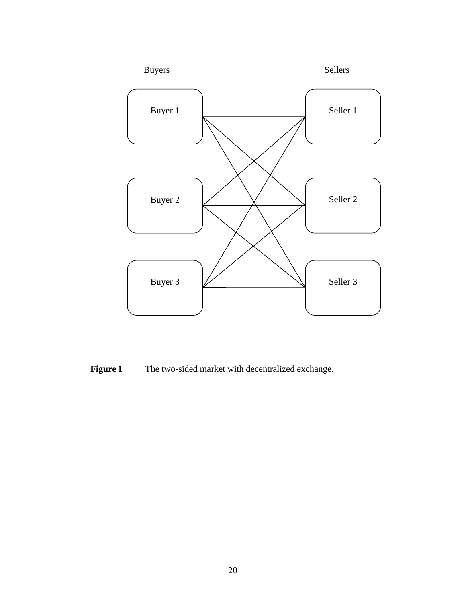

**Figure 1** The two-sided market with decentralized exchange.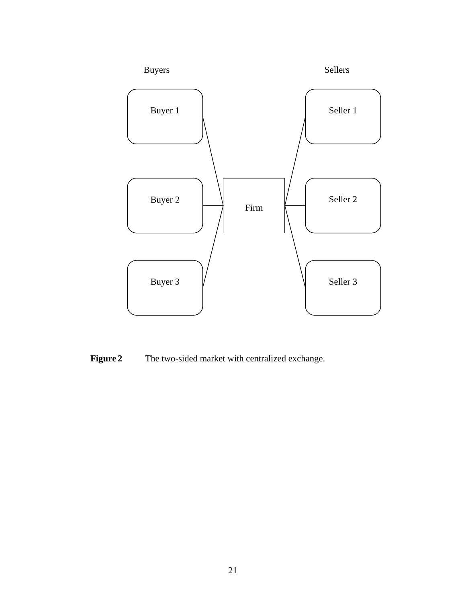

**Figure 2** The two-sided market with centralized exchange.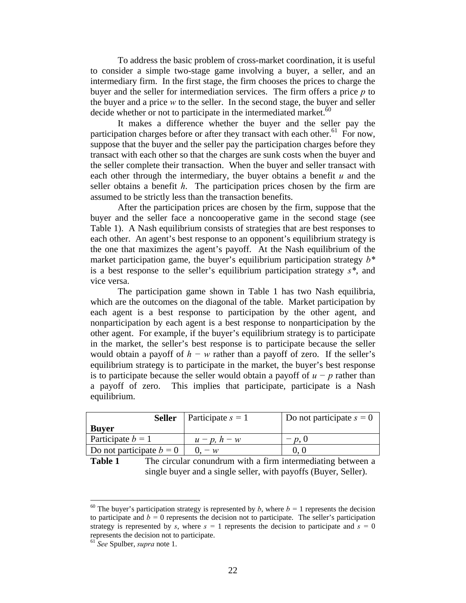To address the basic problem of cross-market coordination, it is useful to consider a simple two-stage game involving a buyer, a seller, and an intermediary firm. In the first stage, the firm chooses the prices to charge the buyer and the seller for intermediation services. The firm offers a price *p* to the buyer and a price *w* to the seller. In the second stage, the buyer and seller decide whether or not to participate in the intermediated market. $60$ 

 It makes a difference whether the buyer and the seller pay the participation charges before or after they transact with each other.<sup>61</sup> For now, suppose that the buyer and the seller pay the participation charges before they transact with each other so that the charges are sunk costs when the buyer and the seller complete their transaction. When the buyer and seller transact with each other through the intermediary, the buyer obtains a benefit *u* and the seller obtains a benefit *h*. The participation prices chosen by the firm are assumed to be strictly less than the transaction benefits.

 After the participation prices are chosen by the firm, suppose that the buyer and the seller face a noncooperative game in the second stage (see Table 1). A Nash equilibrium consists of strategies that are best responses to each other. An agent's best response to an opponent's equilibrium strategy is the one that maximizes the agent's payoff. At the Nash equilibrium of the market participation game, the buyer's equilibrium participation strategy *b\** is a best response to the seller's equilibrium participation strategy *s\**, and vice versa.

 The participation game shown in Table 1 has two Nash equilibria, which are the outcomes on the diagonal of the table. Market participation by each agent is a best response to participation by the other agent, and nonparticipation by each agent is a best response to nonparticipation by the other agent. For example, if the buyer's equilibrium strategy is to participate in the market, the seller's best response is to participate because the seller would obtain a payoff of *h − w* rather than a payoff of zero. If the seller's equilibrium strategy is to participate in the market, the buyer's best response is to participate because the seller would obtain a payoff of  $u - p$  rather than a payoff of zero. This implies that participate, participate is a Nash equilibrium.

|                            | <b>Seller</b>   Participate $s = 1$ | Do not participate $s = 0$ |
|----------------------------|-------------------------------------|----------------------------|
| <b>Buyer</b>               |                                     |                            |
| Participate $b = 1$        | $u-p$ , $h-w$                       | $- p. 0$                   |
| Do not participate $b = 0$ | $U = w$                             |                            |

**Table 1** The circular conundrum with a firm intermediating between a single buyer and a single seller, with payoffs (Buyer, Seller).

<sup>&</sup>lt;sup>60</sup> The buyer's participation strategy is represented by *b*, where  $b = 1$  represents the decision to participate and  $b = 0$  represents the decision not to participate. The seller's participation strategy is represented by *s*, where  $s = 1$  represents the decision to participate and  $s = 0$ represents the decision not to participate.

<sup>61</sup> *See* Spulber, *supra* note 1.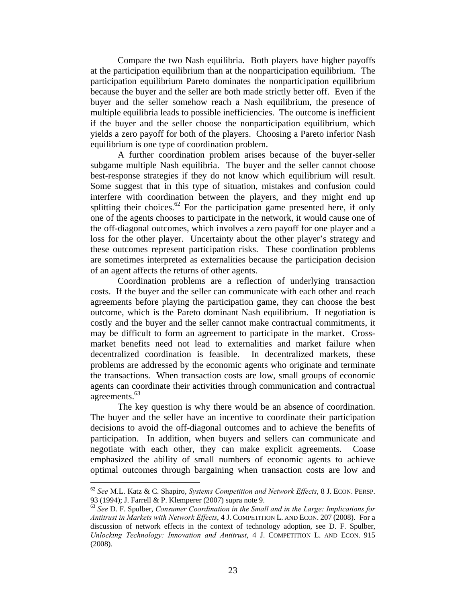Compare the two Nash equilibria. Both players have higher payoffs at the participation equilibrium than at the nonparticipation equilibrium. The participation equilibrium Pareto dominates the nonparticipation equilibrium because the buyer and the seller are both made strictly better off. Even if the buyer and the seller somehow reach a Nash equilibrium, the presence of multiple equilibria leads to possible inefficiencies. The outcome is inefficient if the buyer and the seller choose the nonparticipation equilibrium, which yields a zero payoff for both of the players. Choosing a Pareto inferior Nash equilibrium is one type of coordination problem.

 A further coordination problem arises because of the buyer-seller subgame multiple Nash equilibria. The buyer and the seller cannot choose best-response strategies if they do not know which equilibrium will result. Some suggest that in this type of situation, mistakes and confusion could interfere with coordination between the players, and they might end up splitting their choices.<sup>62</sup> For the participation game presented here, if only one of the agents chooses to participate in the network, it would cause one of the off-diagonal outcomes, which involves a zero payoff for one player and a loss for the other player. Uncertainty about the other player's strategy and these outcomes represent participation risks. These coordination problems are sometimes interpreted as externalities because the participation decision of an agent affects the returns of other agents.

Coordination problems are a reflection of underlying transaction costs. If the buyer and the seller can communicate with each other and reach agreements before playing the participation game, they can choose the best outcome, which is the Pareto dominant Nash equilibrium. If negotiation is costly and the buyer and the seller cannot make contractual commitments, it may be difficult to form an agreement to participate in the market. Crossmarket benefits need not lead to externalities and market failure when decentralized coordination is feasible. In decentralized markets, these problems are addressed by the economic agents who originate and terminate the transactions. When transaction costs are low, small groups of economic agents can coordinate their activities through communication and contractual agreements.<sup>63</sup>

The key question is why there would be an absence of coordination. The buyer and the seller have an incentive to coordinate their participation decisions to avoid the off-diagonal outcomes and to achieve the benefits of participation. In addition, when buyers and sellers can communicate and negotiate with each other, they can make explicit agreements. Coase emphasized the ability of small numbers of economic agents to achieve optimal outcomes through bargaining when transaction costs are low and

<u>.</u>

<sup>62</sup> *See* M.L. Katz & C. Shapiro, *Systems Competition and Network Effects*, 8 J. ECON. PERSP. 93 (1994); J. Farrell & P. Klemperer (2007) supra note 9.

<sup>63</sup> *See* D. F. Spulber, *Consumer Coordination in the Small and in the Large: Implications for Antitrust in Markets with Network Effects*, 4 J. COMPETITION L. AND ECON. 207 (2008). For a discussion of network effects in the context of technology adoption, see D. F. Spulber, *Unlocking Technology: Innovation and Antitrust*, 4 J. COMPETITION L. AND ECON. 915 (2008).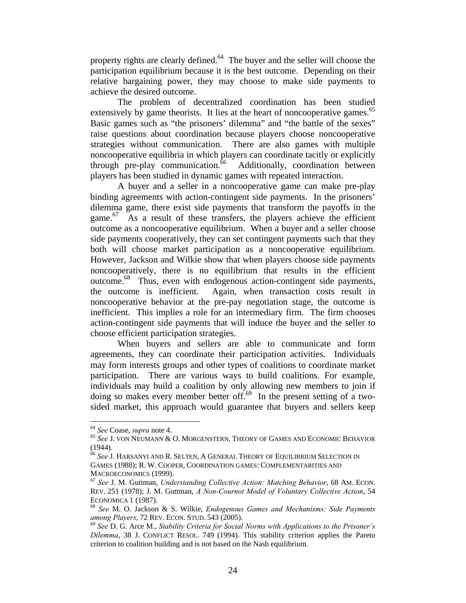property rights are clearly defined.<sup>64</sup> The buyer and the seller will choose the participation equilibrium because it is the best outcome. Depending on their relative bargaining power, they may choose to make side payments to achieve the desired outcome.

The problem of decentralized coordination has been studied extensively by game theorists. It lies at the heart of noncooperative games.<sup>65</sup> Basic games such as "the prisoners' dilemma" and "the battle of the sexes" raise questions about coordination because players choose noncooperative strategies without communication. There are also games with multiple noncooperative equilibria in which players can coordinate tacitly or explicitly through pre-play communication. $\frac{6}{6}$  Additionally, coordination between players has been studied in dynamic games with repeated interaction.

A buyer and a seller in a noncooperative game can make pre-play binding agreements with action-contingent side payments. In the prisoners' dilemma game, there exist side payments that transform the payoffs in the game.<sup>67</sup> As a result of these transfers, the players achieve the efficient outcome as a noncooperative equilibrium. When a buyer and a seller choose side payments cooperatively, they can set contingent payments such that they both will choose market participation as a noncooperative equilibrium. However, Jackson and Wilkie show that when players choose side payments noncooperatively, there is no equilibrium that results in the efficient outcome.68 Thus, even with endogenous action-contingent side payments, the outcome is inefficient. Again, when transaction costs result in noncooperative behavior at the pre-pay negotiation stage, the outcome is inefficient. This implies a role for an intermediary firm. The firm chooses action-contingent side payments that will induce the buyer and the seller to choose efficient participation strategies.

 When buyers and sellers are able to communicate and form agreements, they can coordinate their participation activities. Individuals may form interests groups and other types of coalitions to coordinate market participation. There are various ways to build coalitions. For example, individuals may build a coalition by only allowing new members to join if doing so makes every member better of  $f<sup>69</sup>$  In the present setting of a twosided market, this approach would guarantee that buyers and sellers keep

<sup>&</sup>lt;sup>64</sup> *See* Coase, *supra* note 4.<br><sup>65</sup> *See* J. von Neumann & O. Morgenstern, Theory of Games and Economic Behavior (1944).

<sup>66</sup> *See* J. HARSANYI AND R. SELTEN, A GENERAL THEORY OF EQUILIBRIUM SELECTION IN GAMES (1988); R. W. COOPER, COORDINATION GAMES: COMPLEMENTARITIES AND MACROECONOMICS (1999).<br><sup>67</sup> *See* J. M. Guttman, *Understanding Collective Action: Matching Behavior*, 68 AM. ECON.

REV. 251 (1978); J. M. Guttman, *A Non-Cournot Model of Voluntary Collective Action*, 54

ECONOMICA 1 (1987).<br><sup>68</sup> *See* M. O. Jackson & S. Wilkie, *Endogenous Games and Mechanisms: Side Payments among Players, 72 REV. ECON. STUD. 543 (2005).* 

<sup>&</sup>lt;sup>69</sup> See D. G. Arce M., *Stability Criteria for Social Norms with Applications to the Prisoner's Dilemma*, 38 J. CONFLICT RESOL. 749 (1994). This stability criterion applies the Pareto criterion to coalition building and is not based on the Nash equilibrium.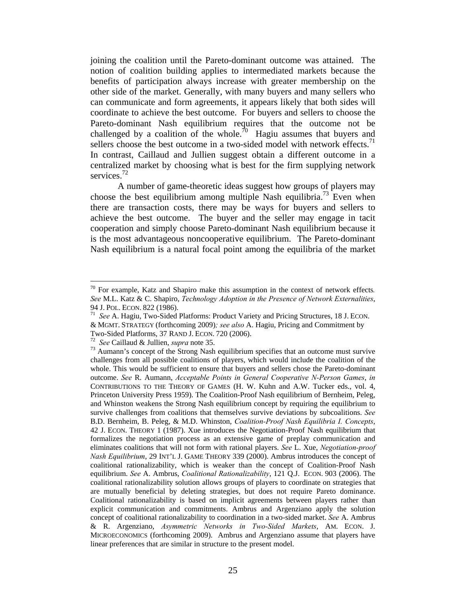joining the coalition until the Pareto-dominant outcome was attained. The notion of coalition building applies to intermediated markets because the benefits of participation always increase with greater membership on the other side of the market. Generally, with many buyers and many sellers who can communicate and form agreements, it appears likely that both sides will coordinate to achieve the best outcome. For buyers and sellers to choose the Pareto-dominant Nash equilibrium requires that the outcome not be challenged by a coalition of the whole.<sup>70</sup> Hagiu assumes that buyers and sellers choose the best outcome in a two-sided model with network effects.<sup>71</sup> In contrast, Caillaud and Jullien suggest obtain a different outcome in a centralized market by choosing what is best for the firm supplying network services.<sup>72</sup>

A number of game-theoretic ideas suggest how groups of players may choose the best equilibrium among multiple Nash equilibria.<sup>73</sup> Even when there are transaction costs, there may be ways for buyers and sellers to achieve the best outcome. The buyer and the seller may engage in tacit cooperation and simply choose Pareto-dominant Nash equilibrium because it is the most advantageous noncooperative equilibrium. The Pareto-dominant Nash equilibrium is a natural focal point among the equilibria of the market

<u>.</u>

<sup>70</sup> For example, Katz and Shapiro make this assumption in the context of network effects*. See* M.L. Katz & C. Shapiro, *Technology Adoption in the Presence of Network Externalities*,

<sup>94</sup> J. POL. ECON. 822 (1986). 71 *See* A. Hagiu, Two-Sided Platforms: Product Variety and Pricing Structures, 18 J. ECON. & MGMT. STRATEGY (forthcoming 2009)*; see also* A. Hagiu, Pricing and Commitment by

Two-Sided Platforms, 37 RAND J. ECON. 720 (2006). 72 *See* Caillaud & Jullien, *supra* note 35. 73 Aumann's concept of the Strong Nash equilibrium specifies that an outcome must survive challenges from all possible coalitions of players, which would include the coalition of the whole. This would be sufficient to ensure that buyers and sellers chose the Pareto-dominant outcome. *See* R. Aumann, *Acceptable Points in General Cooperative N-Person Games*, *in* CONTRIBUTIONS TO THE THEORY OF GAMES (H. W. Kuhn and A.W. Tucker eds., vol. 4, Princeton University Press 1959). The Coalition-Proof Nash equilibrium of Bernheim, Peleg, and Whinston weakens the Strong Nash equilibrium concept by requiring the equilibrium to survive challenges from coalitions that themselves survive deviations by subcoalitions. *See*  B.D. Bernheim, B. Peleg, & M.D. Whinston, *Coalition-Proof Nash Equilibria I. Concepts*, 42 J. ECON. THEORY 1 (1987). Xue introduces the Negotiation-Proof Nash equilibrium that formalizes the negotiation process as an extensive game of preplay communication and eliminates coalitions that will not form with rational players. *See* L. Xue, *Negotiation-proof Nash Equilibrium*, 29 INT'L J. GAME THEORY 339 (2000). Ambrus introduces the concept of coalitional rationalizability, which is weaker than the concept of Coalition-Proof Nash equilibrium. *See* A. Ambrus, *Coalitional Rationalizability*, 121 Q.J. ECON. 903 (2006). The coalitional rationalizability solution allows groups of players to coordinate on strategies that are mutually beneficial by deleting strategies, but does not require Pareto dominance. Coalitional rationalizability is based on implicit agreements between players rather than explicit communication and commitments. Ambrus and Argenziano apply the solution concept of coalitional rationalizability to coordination in a two-sided market. *See* A. Ambrus & R. Argenziano, *Asymmetric Networks in Two-Sided Markets*, AM. ECON. J. MICROECONOMICS (forthcoming 2009). Ambrus and Argenziano assume that players have linear preferences that are similar in structure to the present model.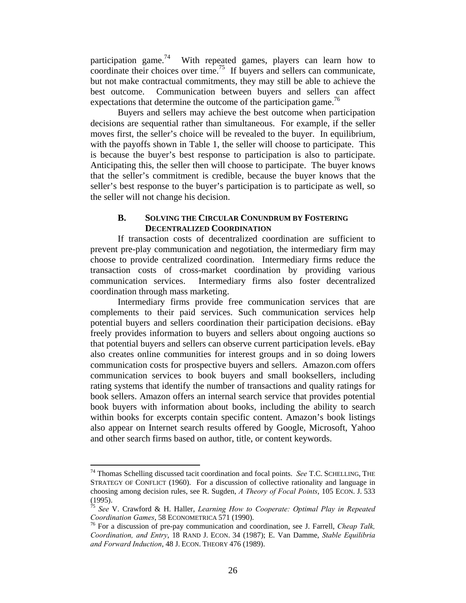participation game.<sup>74</sup> With repeated games, players can learn how to coordinate their choices over time.<sup>75</sup> If buyers and sellers can communicate, but not make contractual commitments, they may still be able to achieve the best outcome. Communication between buyers and sellers can affect expectations that determine the outcome of the participation game.<sup>76</sup>

Buyers and sellers may achieve the best outcome when participation decisions are sequential rather than simultaneous. For example, if the seller moves first, the seller's choice will be revealed to the buyer. In equilibrium, with the payoffs shown in Table 1, the seller will choose to participate. This is because the buyer's best response to participation is also to participate. Anticipating this, the seller then will choose to participate. The buyer knows that the seller's commitment is credible, because the buyer knows that the seller's best response to the buyer's participation is to participate as well, so the seller will not change his decision.

## **B. SOLVING THE CIRCULAR CONUNDRUM BY FOSTERING DECENTRALIZED COORDINATION**

If transaction costs of decentralized coordination are sufficient to prevent pre-play communication and negotiation, the intermediary firm may choose to provide centralized coordination. Intermediary firms reduce the transaction costs of cross-market coordination by providing various communication services. Intermediary firms also foster decentralized coordination through mass marketing.

Intermediary firms provide free communication services that are complements to their paid services. Such communication services help potential buyers and sellers coordination their participation decisions. eBay freely provides information to buyers and sellers about ongoing auctions so that potential buyers and sellers can observe current participation levels. eBay also creates online communities for interest groups and in so doing lowers communication costs for prospective buyers and sellers. Amazon.com offers communication services to book buyers and small booksellers, including rating systems that identify the number of transactions and quality ratings for book sellers. Amazon offers an internal search service that provides potential book buyers with information about books, including the ability to search within books for excerpts contain specific content. Amazon's book listings also appear on Internet search results offered by Google, Microsoft, Yahoo and other search firms based on author, title, or content keywords.

<sup>74</sup> Thomas Schelling discussed tacit coordination and focal points. *See* T.C. SCHELLING, THE STRATEGY OF CONFLICT (1960). For a discussion of collective rationality and language in choosing among decision rules, see R. Sugden, *A Theory of Focal Points*, 105 ECON. J. 533 (1995).

<sup>75</sup> *See* V. Crawford & H. Haller, *Learning How to Cooperate: Optimal Play in Repeated Coordination Games*, 58 ECONOMETRICA 571 (1990).<br><sup>76</sup> For a discussion of pre-pay communication and coordination, see J. Farrell, *Cheap Talk*,

*Coordination, and Entry*, 18 RAND J. ECON. 34 (1987); E. Van Damme, *Stable Equilibria and Forward Induction*, 48 J. ECON. THEORY 476 (1989).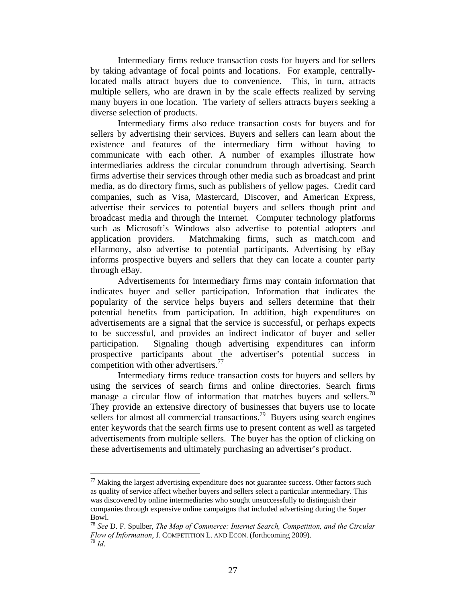Intermediary firms reduce transaction costs for buyers and for sellers by taking advantage of focal points and locations. For example, centrallylocated malls attract buyers due to convenience. This, in turn, attracts multiple sellers, who are drawn in by the scale effects realized by serving many buyers in one location. The variety of sellers attracts buyers seeking a diverse selection of products.

Intermediary firms also reduce transaction costs for buyers and for sellers by advertising their services. Buyers and sellers can learn about the existence and features of the intermediary firm without having to communicate with each other. A number of examples illustrate how intermediaries address the circular conundrum through advertising. Search firms advertise their services through other media such as broadcast and print media, as do directory firms, such as publishers of yellow pages. Credit card companies, such as Visa, Mastercard, Discover, and American Express, advertise their services to potential buyers and sellers though print and broadcast media and through the Internet. Computer technology platforms such as Microsoft's Windows also advertise to potential adopters and application providers. Matchmaking firms, such as match.com and eHarmony, also advertise to potential participants. Advertising by eBay informs prospective buyers and sellers that they can locate a counter party through eBay.

Advertisements for intermediary firms may contain information that indicates buyer and seller participation. Information that indicates the popularity of the service helps buyers and sellers determine that their potential benefits from participation. In addition, high expenditures on advertisements are a signal that the service is successful, or perhaps expects to be successful, and provides an indirect indicator of buyer and seller participation. Signaling though advertising expenditures can inform prospective participants about the advertiser's potential success in competition with other advertisers.<sup>77</sup>

Intermediary firms reduce transaction costs for buyers and sellers by using the services of search firms and online directories. Search firms manage a circular flow of information that matches buyers and sellers.<sup>78</sup> They provide an extensive directory of businesses that buyers use to locate sellers for almost all commercial transactions.<sup>79</sup> Buyers using search engines enter keywords that the search firms use to present content as well as targeted advertisements from multiple sellers. The buyer has the option of clicking on these advertisements and ultimately purchasing an advertiser's product.

 $77$  Making the largest advertising expenditure does not guarantee success. Other factors such as quality of service affect whether buyers and sellers select a particular intermediary. This was discovered by online intermediaries who sought unsuccessfully to distinguish their companies through expensive online campaigns that included advertising during the Super Bowl.

<sup>78</sup> *See* D. F. Spulber, *The Map of Commerce: Internet Search, Competition, and the Circular Flow of Information*, J. COMPETITION L. AND ECON. (forthcoming 2009). <sup>79</sup> *Id*.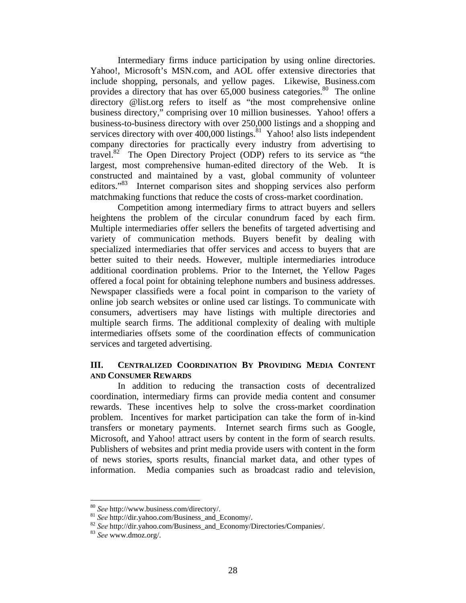Intermediary firms induce participation by using online directories. Yahoo!, Microsoft's MSN.com, and AOL offer extensive directories that include shopping, personals, and yellow pages. Likewise, Business.com provides a directory that has over  $65,000$  business categories.<sup>80</sup> The online directory @list.org refers to itself as "the most comprehensive online business directory," comprising over 10 million businesses. Yahoo! offers a business-to-business directory with over 250,000 listings and a shopping and services directory with over  $400,000$  listings.<sup>81</sup> Yahoo! also lists independent company directories for practically every industry from advertising to travel.82 The Open Directory Project (ODP) refers to its service as "the largest, most comprehensive human-edited directory of the Web. It is constructed and maintained by a vast, global community of volunteer editors."83 Internet comparison sites and shopping services also perform matchmaking functions that reduce the costs of cross-market coordination.

Competition among intermediary firms to attract buyers and sellers heightens the problem of the circular conundrum faced by each firm. Multiple intermediaries offer sellers the benefits of targeted advertising and variety of communication methods. Buyers benefit by dealing with specialized intermediaries that offer services and access to buyers that are better suited to their needs. However, multiple intermediaries introduce additional coordination problems. Prior to the Internet, the Yellow Pages offered a focal point for obtaining telephone numbers and business addresses. Newspaper classifieds were a focal point in comparison to the variety of online job search websites or online used car listings. To communicate with consumers, advertisers may have listings with multiple directories and multiple search firms. The additional complexity of dealing with multiple intermediaries offsets some of the coordination effects of communication services and targeted advertising.

# **III. CENTRALIZED COORDINATION BY PROVIDING MEDIA CONTENT AND CONSUMER REWARDS**

In addition to reducing the transaction costs of decentralized coordination, intermediary firms can provide media content and consumer rewards. These incentives help to solve the cross-market coordination problem. Incentives for market participation can take the form of in-kind transfers or monetary payments. Internet search firms such as Google, Microsoft, and Yahoo! attract users by content in the form of search results. Publishers of websites and print media provide users with content in the form of news stories, sports results, financial market data, and other types of information. Media companies such as broadcast radio and television,

<sup>80</sup> *See* http://www.business.com/directory/. 81 *See* http://dir.yahoo.com/Business\_and\_Economy/. 82 *See* http://dir.yahoo.com/Business\_and\_Economy/Directories/Companies/. 83 *See* www.dmoz.org/.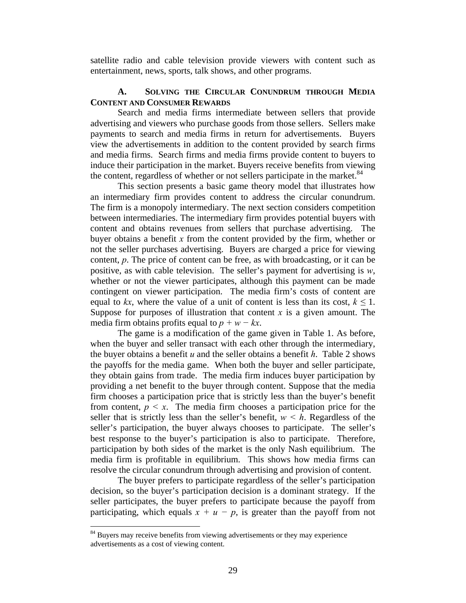satellite radio and cable television provide viewers with content such as entertainment, news, sports, talk shows, and other programs.

## **A. SOLVING THE CIRCULAR CONUNDRUM THROUGH MEDIA CONTENT AND CONSUMER REWARDS**

Search and media firms intermediate between sellers that provide advertising and viewers who purchase goods from those sellers. Sellers make payments to search and media firms in return for advertisements. Buyers view the advertisements in addition to the content provided by search firms and media firms. Search firms and media firms provide content to buyers to induce their participation in the market. Buyers receive benefits from viewing the content, regardless of whether or not sellers participate in the market.<sup>84</sup>

 This section presents a basic game theory model that illustrates how an intermediary firm provides content to address the circular conundrum. The firm is a monopoly intermediary. The next section considers competition between intermediaries. The intermediary firm provides potential buyers with content and obtains revenues from sellers that purchase advertising. The buyer obtains a benefit *x* from the content provided by the firm, whether or not the seller purchases advertising. Buyers are charged a price for viewing content, *p*. The price of content can be free, as with broadcasting, or it can be positive, as with cable television. The seller's payment for advertising is *w*, whether or not the viewer participates, although this payment can be made contingent on viewer participation. The media firm's costs of content are equal to  $kx$ , where the value of a unit of content is less than its cost,  $k \leq 1$ . Suppose for purposes of illustration that content  $x$  is a given amount. The media firm obtains profits equal to  $p + w - kx$ .

 The game is a modification of the game given in Table 1. As before, when the buyer and seller transact with each other through the intermediary, the buyer obtains a benefit *u* and the seller obtains a benefit *h*. Table 2 shows the payoffs for the media game. When both the buyer and seller participate, they obtain gains from trade. The media firm induces buyer participation by providing a net benefit to the buyer through content. Suppose that the media firm chooses a participation price that is strictly less than the buyer's benefit from content,  $p \leq x$ . The media firm chooses a participation price for the seller that is strictly less than the seller's benefit,  $w < h$ . Regardless of the seller's participation, the buyer always chooses to participate. The seller's best response to the buyer's participation is also to participate. Therefore, participation by both sides of the market is the only Nash equilibrium. The media firm is profitable in equilibrium. This shows how media firms can resolve the circular conundrum through advertising and provision of content.

 The buyer prefers to participate regardless of the seller's participation decision, so the buyer's participation decision is a dominant strategy. If the seller participates, the buyer prefers to participate because the payoff from participating, which equals  $x + u - p$ , is greater than the payoff from not

<sup>&</sup>lt;sup>84</sup> Buyers may receive benefits from viewing advertisements or they may experience advertisements as a cost of viewing content.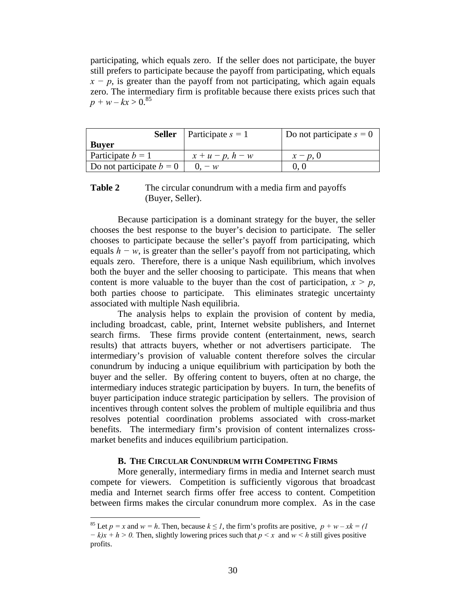participating, which equals zero. If the seller does not participate, the buyer still prefers to participate because the payoff from participating, which equals  $x - p$ , is greater than the payoff from not participating, which again equals zero. The intermediary firm is profitable because there exists prices such that  $p + w - kx > 0.^{85}$ 

| Seller                     | $\vert$ Participate $s = 1$ | Do not participate $s = 0$ |
|----------------------------|-----------------------------|----------------------------|
| <b>Buyer</b>               |                             |                            |
| Participate $b = 1$        | $x + u - p$ , $h - w$       | $x - p, 0$                 |
| Do not participate $b = 0$ | $0. - w$                    |                            |

## **Table 2** The circular conundrum with a media firm and payoffs (Buyer, Seller).

 Because participation is a dominant strategy for the buyer, the seller chooses the best response to the buyer's decision to participate. The seller chooses to participate because the seller's payoff from participating, which equals  $h - w$ , is greater than the seller's payoff from not participating, which equals zero. Therefore, there is a unique Nash equilibrium, which involves both the buyer and the seller choosing to participate. This means that when content is more valuable to the buyer than the cost of participation,  $x > p$ , both parties choose to participate. This eliminates strategic uncertainty associated with multiple Nash equilibria.

 The analysis helps to explain the provision of content by media, including broadcast, cable, print, Internet website publishers, and Internet search firms. These firms provide content (entertainment, news, search results) that attracts buyers, whether or not advertisers participate. The intermediary's provision of valuable content therefore solves the circular conundrum by inducing a unique equilibrium with participation by both the buyer and the seller. By offering content to buyers, often at no charge, the intermediary induces strategic participation by buyers. In turn, the benefits of buyer participation induce strategic participation by sellers. The provision of incentives through content solves the problem of multiple equilibria and thus resolves potential coordination problems associated with cross-market benefits. The intermediary firm's provision of content internalizes crossmarket benefits and induces equilibrium participation.

#### **B. THE CIRCULAR CONUNDRUM WITH COMPETING FIRMS**

 More generally, intermediary firms in media and Internet search must compete for viewers. Competition is sufficiently vigorous that broadcast media and Internet search firms offer free access to content. Competition between firms makes the circular conundrum more complex. As in the case

<sup>&</sup>lt;sup>85</sup> Let  $p = x$  and  $w = h$ . Then, because  $k \leq l$ , the firm's profits are positive,  $p + w - xk = l$ *− k)x* + *h* > 0. Then, slightly lowering prices such that *p* < *x* and *w* < *h* still gives positive profits.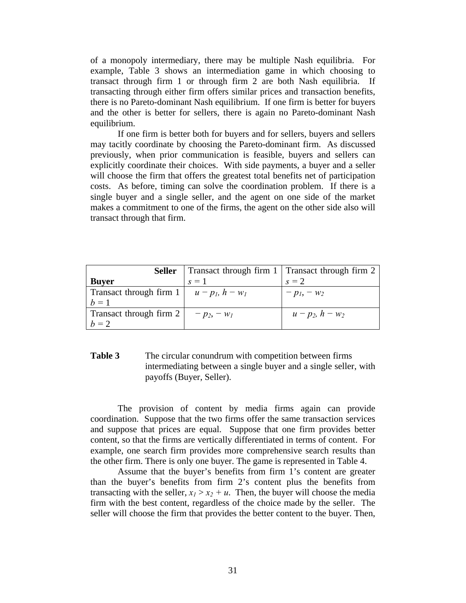of a monopoly intermediary, there may be multiple Nash equilibria. For example, Table 3 shows an intermediation game in which choosing to transact through firm 1 or through firm 2 are both Nash equilibria. If transacting through either firm offers similar prices and transaction benefits, there is no Pareto-dominant Nash equilibrium. If one firm is better for buyers and the other is better for sellers, there is again no Pareto-dominant Nash equilibrium.

 If one firm is better both for buyers and for sellers, buyers and sellers may tacitly coordinate by choosing the Pareto-dominant firm. As discussed previously, when prior communication is feasible, buyers and sellers can explicitly coordinate their choices. With side payments, a buyer and a seller will choose the firm that offers the greatest total benefits net of participation costs. As before, timing can solve the coordination problem. If there is a single buyer and a single seller, and the agent on one side of the market makes a commitment to one of the firms, the agent on the other side also will transact through that firm.

|                                                          | <b>Seller</b>   Transact through firm 1   Transact through firm 2 |                       |
|----------------------------------------------------------|-------------------------------------------------------------------|-----------------------|
| <b>Buyer</b>                                             | $s=1$                                                             | $s = 2$               |
| Transact through firm $1   u - p_l$ , $h - w_l$<br>$b=1$ |                                                                   | $-p_1, -w_2$          |
| Transact through firm $2  -p_2, -w_1$<br>$b=2$           |                                                                   | $u - p_2$ , $h - w_2$ |

## **Table 3** The circular conundrum with competition between firms intermediating between a single buyer and a single seller, with payoffs (Buyer, Seller).

 The provision of content by media firms again can provide coordination. Suppose that the two firms offer the same transaction services and suppose that prices are equal. Suppose that one firm provides better content, so that the firms are vertically differentiated in terms of content. For example, one search firm provides more comprehensive search results than the other firm. There is only one buyer. The game is represented in Table 4.

Assume that the buyer's benefits from firm 1's content are greater than the buyer's benefits from firm 2's content plus the benefits from transacting with the seller,  $x_1 > x_2 + u$ . Then, the buyer will choose the media firm with the best content, regardless of the choice made by the seller. The seller will choose the firm that provides the better content to the buyer. Then,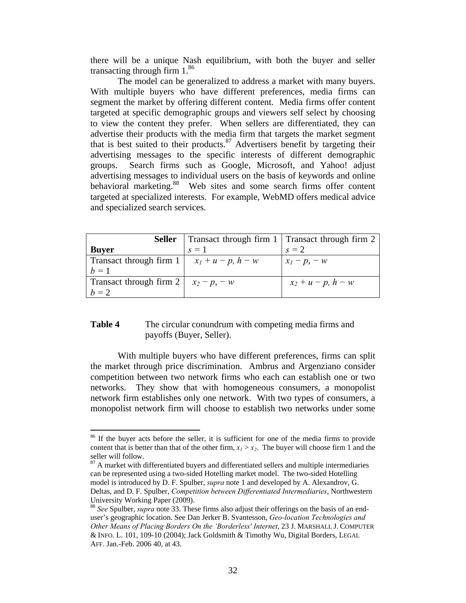there will be a unique Nash equilibrium, with both the buyer and seller transacting through firm  $1.^{86}$ 

 The model can be generalized to address a market with many buyers. With multiple buyers who have different preferences, media firms can segment the market by offering different content. Media firms offer content targeted at specific demographic groups and viewers self select by choosing to view the content they prefer. When sellers are differentiated, they can advertise their products with the media firm that targets the market segment that is best suited to their products. $87$  Advertisers benefit by targeting their advertising messages to the specific interests of different demographic groups. Search firms such as Google, Microsoft, and Yahoo! adjust advertising messages to individual users on the basis of keywords and online behavioral marketing.<sup>88</sup> Web sites and some search firms offer content targeted at specialized interests. For example, WebMD offers medical advice and specialized search services.

| <b>Seller</b>                    | Transact through firm 1   Transact through firm 2 |                         |
|----------------------------------|---------------------------------------------------|-------------------------|
| <b>Buyer</b>                     | $s=1$                                             | $s = 2$                 |
| Transact through firm 1<br>$h=1$ | $x_1 + u - p$ , $h - w$                           | $x_1-p, -w$             |
| Transact through firm 2<br>$h=2$ | $x_2 - p$ , $-w$                                  | $x_2 + u - p$ , $h - w$ |

## **Table 4** The circular conundrum with competing media firms and payoffs (Buyer, Seller).

With multiple buyers who have different preferences, firms can split the market through price discrimination. Ambrus and Argenziano consider competition between two network firms who each can establish one or two networks. They show that with homogeneous consumers, a monopolist network firm establishes only one network. With two types of consumers, a monopolist network firm will choose to establish two networks under some

<sup>&</sup>lt;sup>86</sup> If the buyer acts before the seller, it is sufficient for one of the media firms to provide content that is better than that of the other firm,  $x_1 > x_2$ . The buyer will choose firm 1 and the seller will follow.

 $87$  A market with differentiated buyers and differentiated sellers and multiple intermediaries can be represented using a two-sided Hotelling market model. The two-sided Hotelling model is introduced by D. F. Spulber, *supra* note 1 and developed by A. Alexandrov, G. Deltas, and D. F. Spulber, *Competition between Differentiated Intermediaries*, Northwestern University Working Paper (2009).

<sup>88</sup> *See* Spulber, *supra* note 33. These firms also adjust their offerings on the basis of an enduser's geographic location. See Dan Jerker B. Svantesson, *Geo-location Technologies and Other Means of Placing Borders On the 'Borderless' Internet*, 23 J. MARSHALL J. COMPUTER & INFO. L. 101, 109-10 (2004); Jack Goldsmith & Timothy Wu, Digital Borders, LEGAL AFF. Jan.-Feb. 2006 40, at 43.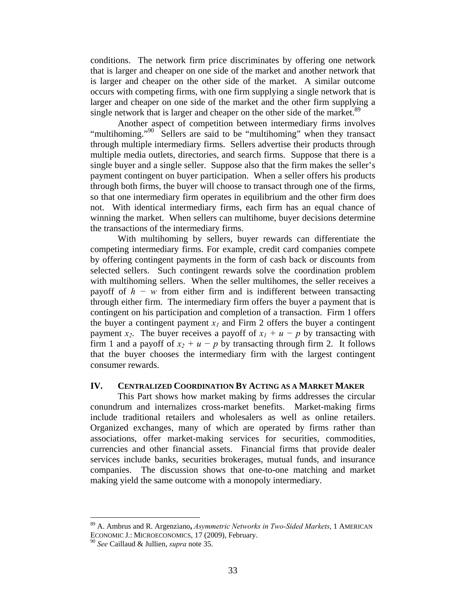conditions. The network firm price discriminates by offering one network that is larger and cheaper on one side of the market and another network that is larger and cheaper on the other side of the market. A similar outcome occurs with competing firms, with one firm supplying a single network that is larger and cheaper on one side of the market and the other firm supplying a single network that is larger and cheaper on the other side of the market.<sup>89</sup>

 Another aspect of competition between intermediary firms involves "multihoming."<sup>90</sup> Sellers are said to be "multihoming" when they transact through multiple intermediary firms. Sellers advertise their products through multiple media outlets, directories, and search firms. Suppose that there is a single buyer and a single seller. Suppose also that the firm makes the seller's payment contingent on buyer participation. When a seller offers his products through both firms, the buyer will choose to transact through one of the firms, so that one intermediary firm operates in equilibrium and the other firm does not. With identical intermediary firms, each firm has an equal chance of winning the market. When sellers can multihome, buyer decisions determine the transactions of the intermediary firms.

 With multihoming by sellers, buyer rewards can differentiate the competing intermediary firms. For example, credit card companies compete by offering contingent payments in the form of cash back or discounts from selected sellers. Such contingent rewards solve the coordination problem with multihoming sellers. When the seller multihomes, the seller receives a payoff of *h − w* from either firm and is indifferent between transacting through either firm. The intermediary firm offers the buyer a payment that is contingent on his participation and completion of a transaction. Firm 1 offers the buyer a contingent payment  $x_1$  and Firm 2 offers the buyer a contingent payment *x<sub>2</sub>*. The buyer receives a payoff of  $x_1 + u - p$  by transacting with firm 1 and a payoff of  $x_2 + u - p$  by transacting through firm 2. It follows that the buyer chooses the intermediary firm with the largest contingent consumer rewards.

## **IV. CENTRALIZED COORDINATION BY ACTING AS A MARKET MAKER**

 This Part shows how market making by firms addresses the circular conundrum and internalizes cross-market benefits. Market-making firms include traditional retailers and wholesalers as well as online retailers. Organized exchanges, many of which are operated by firms rather than associations, offer market-making services for securities, commodities, currencies and other financial assets. Financial firms that provide dealer services include banks, securities brokerages, mutual funds, and insurance companies. The discussion shows that one-to-one matching and market making yield the same outcome with a monopoly intermediary.

<sup>89</sup> A. Ambrus and R. Argenziano**,** *Asymmetric Networks in Two-Sided Markets*, 1 AMERICAN ECONOMIC J.: MICROECONOMICS, 17 (2009), February.

<sup>90</sup> *See* Caillaud & Jullien, *supra* note 35.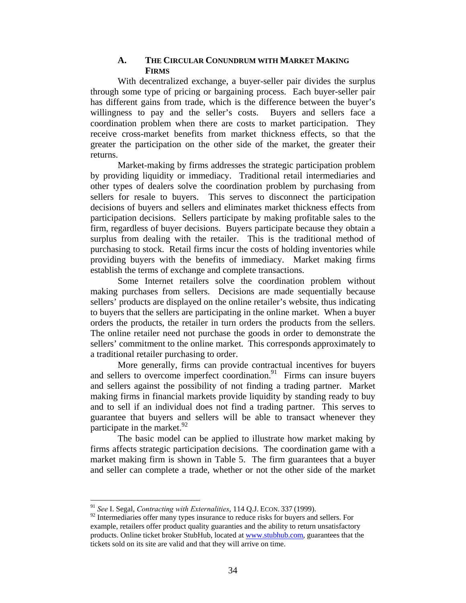## **A. THE CIRCULAR CONUNDRUM WITH MARKET MAKING FIRMS**

 With decentralized exchange, a buyer-seller pair divides the surplus through some type of pricing or bargaining process. Each buyer-seller pair has different gains from trade, which is the difference between the buyer's willingness to pay and the seller's costs. Buyers and sellers face a coordination problem when there are costs to market participation. They receive cross-market benefits from market thickness effects, so that the greater the participation on the other side of the market, the greater their returns.

Market-making by firms addresses the strategic participation problem by providing liquidity or immediacy. Traditional retail intermediaries and other types of dealers solve the coordination problem by purchasing from sellers for resale to buyers. This serves to disconnect the participation decisions of buyers and sellers and eliminates market thickness effects from participation decisions. Sellers participate by making profitable sales to the firm, regardless of buyer decisions. Buyers participate because they obtain a surplus from dealing with the retailer. This is the traditional method of purchasing to stock. Retail firms incur the costs of holding inventories while providing buyers with the benefits of immediacy. Market making firms establish the terms of exchange and complete transactions.

 Some Internet retailers solve the coordination problem without making purchases from sellers. Decisions are made sequentially because sellers' products are displayed on the online retailer's website, thus indicating to buyers that the sellers are participating in the online market. When a buyer orders the products, the retailer in turn orders the products from the sellers. The online retailer need not purchase the goods in order to demonstrate the sellers' commitment to the online market. This corresponds approximately to a traditional retailer purchasing to order.

More generally, firms can provide contractual incentives for buyers and sellers to overcome imperfect coordination.<sup>91</sup> Firms can insure buyers and sellers against the possibility of not finding a trading partner. Market making firms in financial markets provide liquidity by standing ready to buy and to sell if an individual does not find a trading partner. This serves to guarantee that buyers and sellers will be able to transact whenever they participate in the market. $92$ 

 The basic model can be applied to illustrate how market making by firms affects strategic participation decisions. The coordination game with a market making firm is shown in Table 5. The firm guarantees that a buyer and seller can complete a trade, whether or not the other side of the market

<sup>91</sup> *See* I. Segal, *Contracting with Externalities*, 114 Q.J. ECON. 337 (1999).

<sup>&</sup>lt;sup>92</sup> Intermediaries offer many types insurance to reduce risks for buyers and sellers. For example, retailers offer product quality guaranties and the ability to return unsatisfactory products. Online ticket broker StubHub, located at www.stubhub.com, guarantees that the tickets sold on its site are valid and that they will arrive on time.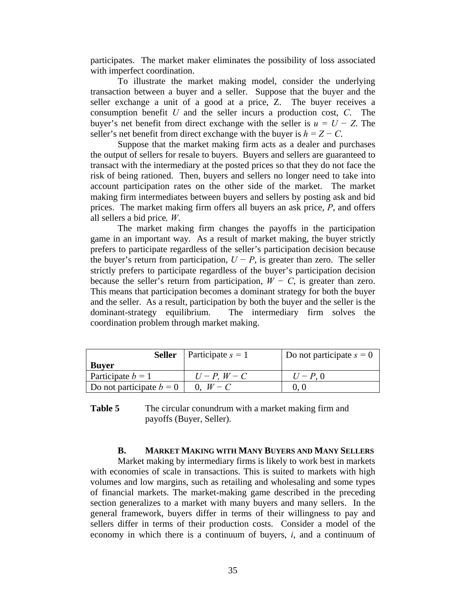participates. The market maker eliminates the possibility of loss associated with imperfect coordination.

 To illustrate the market making model, consider the underlying transaction between a buyer and a seller. Suppose that the buyer and the seller exchange a unit of a good at a price, Z. The buyer receives a consumption benefit *U* and the seller incurs a production cost, *C*. The buyer's net benefit from direct exchange with the seller is  $u = U - Z$ . The seller's net benefit from direct exchange with the buyer is  $h = Z - C$ .

 Suppose that the market making firm acts as a dealer and purchases the output of sellers for resale to buyers. Buyers and sellers are guaranteed to transact with the intermediary at the posted prices so that they do not face the risk of being rationed. Then, buyers and sellers no longer need to take into account participation rates on the other side of the market. The market making firm intermediates between buyers and sellers by posting ask and bid prices. The market making firm offers all buyers an ask price, *P*, and offers all sellers a bid price*, W*.

 The market making firm changes the payoffs in the participation game in an important way. As a result of market making, the buyer strictly prefers to participate regardless of the seller's participation decision because the buyer's return from participation,  $U - P$ , is greater than zero. The seller strictly prefers to participate regardless of the buyer's participation decision because the seller's return from participation,  $W - C$ , is greater than zero. This means that participation becomes a dominant strategy for both the buyer and the seller. As a result, participation by both the buyer and the seller is the dominant-strategy equilibrium. The intermediary firm solves the coordination problem through market making.

| Seller                     | Participate $s = 1$ | Do not participate $s = 0$ |
|----------------------------|---------------------|----------------------------|
| <b>Buyer</b>               |                     |                            |
| Participate $b = 1$        | $U-P, W-C$          | $U - P_{0}$                |
| Do not participate $b = 0$ | $0, W - C$          |                            |

**Table 5** The circular conundrum with a market making firm and payoffs (Buyer, Seller).

#### **B. MARKET MAKING WITH MANY BUYERS AND MANY SELLERS**

 Market making by intermediary firms is likely to work best in markets with economies of scale in transactions. This is suited to markets with high volumes and low margins, such as retailing and wholesaling and some types of financial markets. The market-making game described in the preceding section generalizes to a market with many buyers and many sellers. In the general framework, buyers differ in terms of their willingness to pay and sellers differ in terms of their production costs. Consider a model of the economy in which there is a continuum of buyers, *i*, and a continuum of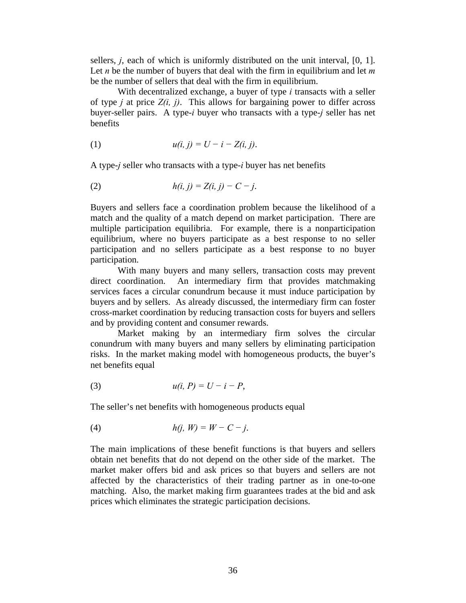sellers, *j*, each of which is uniformly distributed on the unit interval, [0, 1]. Let *n* be the number of buyers that deal with the firm in equilibrium and let *m*  be the number of sellers that deal with the firm in equilibrium.

 With decentralized exchange, a buyer of type *i* transacts with a seller of type *j* at price  $Z(i, j)$ . This allows for bargaining power to differ across buyer-seller pairs. A type-*i* buyer who transacts with a type-*j* seller has net benefits

(1) 
$$
u(i, j) = U - i - Z(i, j).
$$

A type-*j* seller who transacts with a type-*i* buyer has net benefits

(2) 
$$
h(i, j) = Z(i, j) - C - j.
$$

Buyers and sellers face a coordination problem because the likelihood of a match and the quality of a match depend on market participation. There are multiple participation equilibria. For example, there is a nonparticipation equilibrium, where no buyers participate as a best response to no seller participation and no sellers participate as a best response to no buyer participation.

 With many buyers and many sellers, transaction costs may prevent direct coordination. An intermediary firm that provides matchmaking services faces a circular conundrum because it must induce participation by buyers and by sellers. As already discussed, the intermediary firm can foster cross-market coordination by reducing transaction costs for buyers and sellers and by providing content and consumer rewards.

 Market making by an intermediary firm solves the circular conundrum with many buyers and many sellers by eliminating participation risks. In the market making model with homogeneous products, the buyer's net benefits equal

(3) 
$$
u(i, P) = U - i - P
$$
,

The seller's net benefits with homogeneous products equal

$$
(4) \t\t h(j, W) = W - C - j.
$$

The main implications of these benefit functions is that buyers and sellers obtain net benefits that do not depend on the other side of the market. The market maker offers bid and ask prices so that buyers and sellers are not affected by the characteristics of their trading partner as in one-to-one matching. Also, the market making firm guarantees trades at the bid and ask prices which eliminates the strategic participation decisions.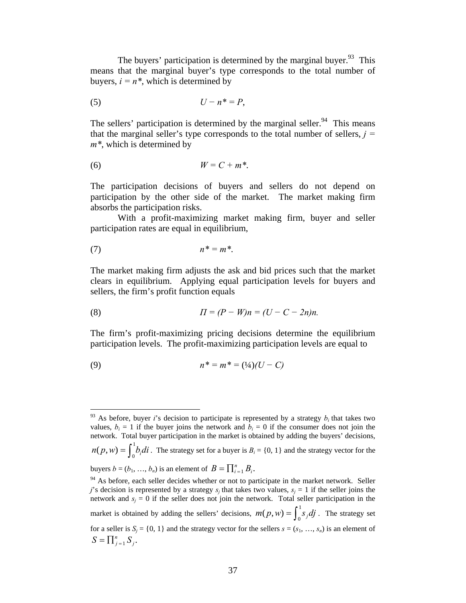The buyers' participation is determined by the marginal buyer.<sup>93</sup> This means that the marginal buyer's type corresponds to the total number of buyers,  $i = n^*$ , which is determined by

$$
(5) \t\t\t U - n^* = P,
$$

The sellers' participation is determined by the marginal seller. $94$  This means that the marginal seller's type corresponds to the total number of sellers,  $j =$ *m\**, which is determined by

$$
(6) \t\t W = C + m^*.
$$

The participation decisions of buyers and sellers do not depend on participation by the other side of the market. The market making firm absorbs the participation risks.

 With a profit-maximizing market making firm, buyer and seller participation rates are equal in equilibrium,

$$
n^* = m^*.
$$

<u>.</u>

The market making firm adjusts the ask and bid prices such that the market clears in equilibrium. Applying equal participation levels for buyers and sellers, the firm's profit function equals

(8) 
$$
\Pi = (P - W)n = (U - C - 2n)n.
$$

The firm's profit-maximizing pricing decisions determine the equilibrium participation levels. The profit-maximizing participation levels are equal to

(9) 
$$
n^* = m^* = (1/4)(U - C)
$$

 $93$  As before, buyer *i*'s decision to participate is represented by a strategy  $b_i$  that takes two values,  $b_i = 1$  if the buyer joins the network and  $b_i = 0$  if the consumer does not join the network. Total buyer participation in the market is obtained by adding the buyers' decisions,  $n(p, w) = \int_0^1 b_i \, di$ . The strategy set for a buyer is  $B_i = \{0, 1\}$  and the strategy vector for the buyers  $b = (b_1, ..., b_n)$  is an element of  $B = \prod_{i=1}^n B_i$ .

<sup>&</sup>lt;sup>94</sup> As before, each seller decides whether or not to participate in the market network. Seller *j*'s decision is represented by a strategy  $s_j$  that takes two values,  $s_j = 1$  if the seller joins the network and  $s_i = 0$  if the seller does not join the network. Total seller participation in the market is obtained by adding the sellers' decisions,  $m(p, w) = \int_0^1 s_j dj$ . The strategy set for a seller is  $S_i = \{0, 1\}$  and the strategy vector for the sellers  $s = (s_1, \ldots, s_n)$  is an element of  $S = \prod_{j=1}^{n} S_{j}$ .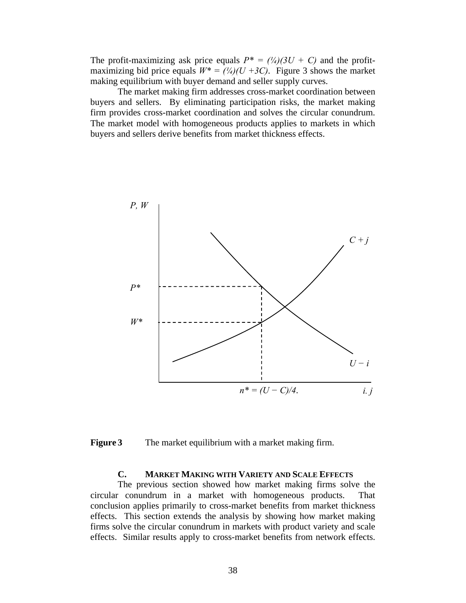The profit-maximizing ask price equals  $P^* = (\frac{1}{4})(3U + C)$  and the profitmaximizing bid price equals  $W^* = (\frac{1}{4})(U + 3C)$ . Figure 3 shows the market making equilibrium with buyer demand and seller supply curves.

 The market making firm addresses cross-market coordination between buyers and sellers. By eliminating participation risks, the market making firm provides cross-market coordination and solves the circular conundrum. The market model with homogeneous products applies to markets in which buyers and sellers derive benefits from market thickness effects.



**Figure 3** The market equilibrium with a market making firm.

## **C. MARKET MAKING WITH VARIETY AND SCALE EFFECTS**

The previous section showed how market making firms solve the circular conundrum in a market with homogeneous products. That conclusion applies primarily to cross-market benefits from market thickness effects. This section extends the analysis by showing how market making firms solve the circular conundrum in markets with product variety and scale effects. Similar results apply to cross-market benefits from network effects.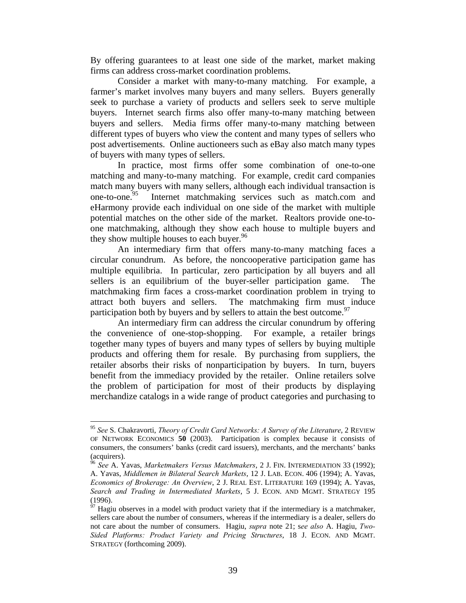By offering guarantees to at least one side of the market, market making firms can address cross-market coordination problems.

Consider a market with many-to-many matching. For example, a farmer's market involves many buyers and many sellers. Buyers generally seek to purchase a variety of products and sellers seek to serve multiple buyers. Internet search firms also offer many-to-many matching between buyers and sellers. Media firms offer many-to-many matching between different types of buyers who view the content and many types of sellers who post advertisements. Online auctioneers such as eBay also match many types of buyers with many types of sellers.

In practice, most firms offer some combination of one-to-one matching and many-to-many matching. For example, credit card companies match many buyers with many sellers, although each individual transaction is one-to-one.<sup>95</sup> Internet matchmaking services such as match.com and eHarmony provide each individual on one side of the market with multiple potential matches on the other side of the market. Realtors provide one-toone matchmaking, although they show each house to multiple buyers and they show multiple houses to each buyer.<sup>96</sup>

An intermediary firm that offers many-to-many matching faces a circular conundrum. As before, the noncooperative participation game has multiple equilibria. In particular, zero participation by all buyers and all sellers is an equilibrium of the buyer-seller participation game. The matchmaking firm faces a cross-market coordination problem in trying to attract both buyers and sellers. The matchmaking firm must induce participation both by buyers and by sellers to attain the best outcome.  $97$ 

An intermediary firm can address the circular conundrum by offering the convenience of one-stop-shopping. For example, a retailer brings together many types of buyers and many types of sellers by buying multiple products and offering them for resale. By purchasing from suppliers, the retailer absorbs their risks of nonparticipation by buyers. In turn, buyers benefit from the immediacy provided by the retailer. Online retailers solve the problem of participation for most of their products by displaying merchandize catalogs in a wide range of product categories and purchasing to

<sup>95</sup> *See* S. Chakravorti, *Theory of Credit Card Networks: A Survey of the Literature*, 2 REVIEW OF NETWORK ECONOMICS **50** (2003). Participation is complex because it consists of consumers, the consumers' banks (credit card issuers), merchants, and the merchants' banks (acquirers).

<sup>96</sup> *See* A. Yavas, *Marketmakers Versus Matchmakers*, 2 J. FIN. INTERMEDIATION 33 (1992); A. Yavas, *Middlemen in Bilateral Search Markets*, 12 J. LAB. ECON. 406 (1994); A. Yavas, *Economics of Brokerage: An Overview*, 2 J. REAL EST. LITERATURE 169 (1994); A. Yavas, *Search and Trading in Intermediated Markets*, 5 J. ECON. AND MGMT. STRATEGY 195 (1996).

 $\frac{97}{97}$  Hagiu observes in a model with product variety that if the intermediary is a matchmaker, sellers care about the number of consumers, whereas if the intermediary is a dealer, sellers do not care about the number of consumers. Hagiu, *supra* note 21; s*ee also* A. Hagiu, *Two-Sided Platforms: Product Variety and Pricing Structures*, 18 J. ECON. AND MGMT. STRATEGY (forthcoming 2009).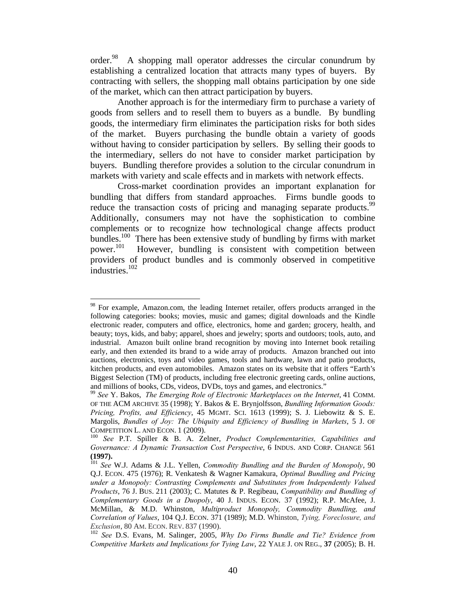order.<sup>98</sup> A shopping mall operator addresses the circular conundrum by establishing a centralized location that attracts many types of buyers. By contracting with sellers, the shopping mall obtains participation by one side of the market, which can then attract participation by buyers.

Another approach is for the intermediary firm to purchase a variety of goods from sellers and to resell them to buyers as a bundle. By bundling goods, the intermediary firm eliminates the participation risks for both sides of the market. Buyers purchasing the bundle obtain a variety of goods without having to consider participation by sellers. By selling their goods to the intermediary, sellers do not have to consider market participation by buyers. Bundling therefore provides a solution to the circular conundrum in markets with variety and scale effects and in markets with network effects.

Cross-market coordination provides an important explanation for bundling that differs from standard approaches. Firms bundle goods to reduce the transaction costs of pricing and managing separate products.<sup>99</sup> Additionally, consumers may not have the sophistication to combine complements or to recognize how technological change affects product bundles.<sup>100</sup> There has been extensive study of bundling by firms with market power.<sup>101</sup> However, bundling is consistent with competition between However, bundling is consistent with competition between providers of product bundles and is commonly observed in competitive industries.<sup>102</sup>

<sup>1</sup>  $98$  For example, Amazon.com, the leading Internet retailer, offers products arranged in the following categories: books; movies, music and games; digital downloads and the Kindle electronic reader, computers and office, electronics, home and garden; grocery, health, and beauty; toys, kids, and baby; apparel, shoes and jewelry; sports and outdoors; tools, auto, and industrial. Amazon built online brand recognition by moving into Internet book retailing early, and then extended its brand to a wide array of products. Amazon branched out into auctions, electronics, toys and video games, tools and hardware, lawn and patio products, kitchen products, and even automobiles. Amazon states on its website that it offers "Earth's Biggest Selection (TM) of products, including free electronic greeting cards, online auctions, and millions of books, CDs, videos, DVDs, toys and games, and electronics."

<sup>99</sup> *See* Y. Bakos, *The Emerging Role of Electronic Marketplaces on the Internet*, 41 COMM. OF THE ACM ARCHIVE 35 (1998); Y. Bakos & E. Brynjolfsson, *Bundling Information Goods: Pricing, Profits, and Efficiency*, 45 MGMT. SCI. 1613 (1999); S. J. Liebowitz & S. E. Margolis, *Bundles of Joy: The Ubiquity and Efficiency of Bundling in Markets*, 5 J. OF COMPETITION L. AND ECON. 1 (2009).<br><sup>100</sup> *See* P.T. Spiller & B. A. Zelner, *Product Complementarities, Capabilities and* 

*Governance: A Dynamic Transaction Cost Perspective*, 6 INDUS. AND CORP. CHANGE 561

**<sup>(1997).</sup>** 101 *See* W.J. Adams & J.L. Yellen, *Commodity Bundling and the Burden of Monopoly*, 90 Q.J. ECON. 475 (1976); R. Venkatesh & Wagner Kamakura, *Optimal Bundling and Pricing under a Monopoly: Contrasting Complements and Substitutes from Independently Valued Products*, 76 J. BUS. 211 (2003); C. Matutes & P. Regibeau, *Compatibility and Bundling of Complementary Goods in a Duopoly*, 40 J. INDUS. ECON. 37 (1992); R.P. McAfee, J. McMillan, & M.D. Whinston, *Multiproduct Monopoly, Commodity Bundling, and Correlation of Values*, 104 Q.J. ECON. 371 (1989); M.D. Whinston, *Tying, Foreclosure, and* 

*Exclusion*, 80 AM. ECON. REV. 837 (1990).<br><sup>102</sup> *See* D.S. Evans, M. Salinger, 2005, *Why Do Firms Bundle and Tie? Evidence from Competitive Markets and Implications for Tying Law*, 22 YALE J. ON REG., **37** (2005); B. H.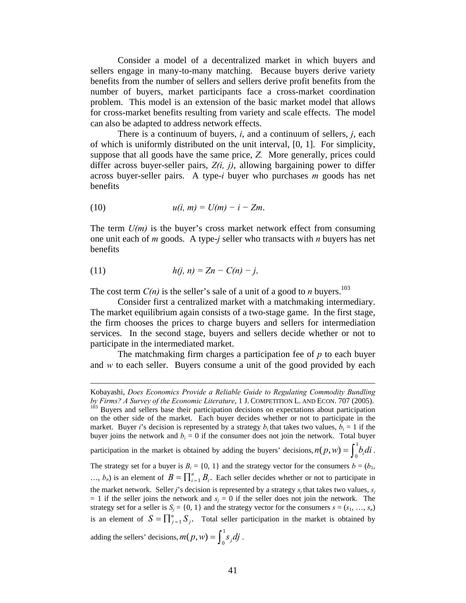Consider a model of a decentralized market in which buyers and sellers engage in many-to-many matching. Because buyers derive variety benefits from the number of sellers and sellers derive profit benefits from the number of buyers, market participants face a cross-market coordination problem. This model is an extension of the basic market model that allows for cross-market benefits resulting from variety and scale effects. The model can also be adapted to address network effects.

There is a continuum of buyers, *i*, and a continuum of sellers, *j*, each of which is uniformly distributed on the unit interval, [0, 1]. For simplicity, suppose that all goods have the same price, *Z.* More generally, prices could differ across buyer-seller pairs, *Z(i, j)*, allowing bargaining power to differ across buyer-seller pairs. A type-*i* buyer who purchases *m* goods has net benefits

$$
(10) \t u(i, m) = U(m) - i - Zm.
$$

The term *U(m)* is the buyer's cross market network effect from consuming one unit each of *m* goods. A type-*j* seller who transacts with *n* buyers has net benefits

(11) 
$$
h(j, n) = Zn - C(n) - j.
$$

1

The cost term  $C(n)$  is the seller's sale of a unit of a good to *n* buyers.<sup>103</sup>

Consider first a centralized market with a matchmaking intermediary. The market equilibrium again consists of a two-stage game. In the first stage, the firm chooses the prices to charge buyers and sellers for intermediation services. In the second stage, buyers and sellers decide whether or not to participate in the intermediated market.

The matchmaking firm charges a participation fee of *p* to each buyer and *w* to each seller. Buyers consume a unit of the good provided by each

Kobayashi, *Does Economics Provide a Reliable Guide to Regulating Commodity Bundling by Firms? A Survey of the Economic Literature*, 1 J. COMPETITION L. AND ECON. 707 (2005). <sup>103</sup> Buyers and sellers base their participation decisions on expectations about participation on the other side of the market. Each buyer decides whether or not to participate in the market. Buyer *i*'s decision is represented by a strategy  $b_i$  that takes two values,  $b_i = 1$  if the buyer joins the network and  $b_i = 0$  if the consumer does not join the network. Total buyer participation in the market is obtained by adding the buyers' decisions,  $n(p, w) = \int_0^1 b_i \, di$ . The strategy set for a buyer is  $B_i = \{0, 1\}$  and the strategy vector for the consumers  $b = (b_1, b_2)$ ...,  $b_n$ ) is an element of  $B = \prod_{i=1}^n B_i$ . Each seller decides whether or not to participate in the market network. Seller *j*'s decision is represented by a strategy  $s_j$  that takes two values,  $s_j$  $= 1$  if the seller joins the network and  $s<sub>j</sub> = 0$  if the seller does not join the network. The strategy set for a seller is  $S_j = \{0, 1\}$  and the strategy vector for the consumers  $s = (s_1, ..., s_n)$ is an element of  $S = \prod_{j=1}^{n} S_j$ . Total seller participation in the market is obtained by adding the sellers' decisions,  $m(p, w) = \int_0^1 s_j dj$ .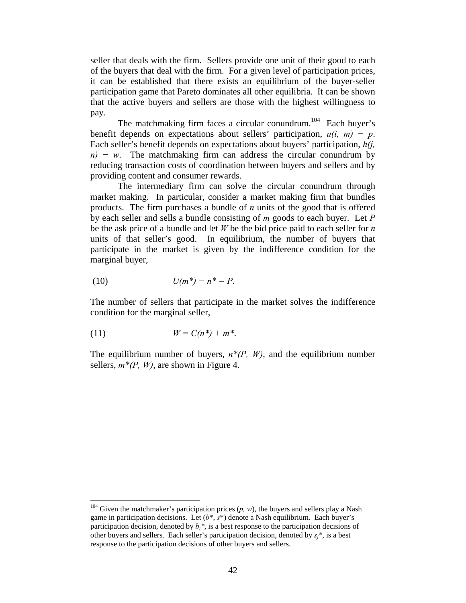seller that deals with the firm. Sellers provide one unit of their good to each of the buyers that deal with the firm. For a given level of participation prices, it can be established that there exists an equilibrium of the buyer-seller participation game that Pareto dominates all other equilibria. It can be shown that the active buyers and sellers are those with the highest willingness to pay.

The matchmaking firm faces a circular conundrum.<sup>104</sup> Each buyer's benefit depends on expectations about sellers' participation,  $u(i, m) - p$ . Each seller's benefit depends on expectations about buyers' participation, *h(j, n)* − *w*. The matchmaking firm can address the circular conundrum by reducing transaction costs of coordination between buyers and sellers and by providing content and consumer rewards.

 The intermediary firm can solve the circular conundrum through market making. In particular, consider a market making firm that bundles products. The firm purchases a bundle of *n* units of the good that is offered by each seller and sells a bundle consisting of *m* goods to each buyer. Let *P* be the ask price of a bundle and let *W* be the bid price paid to each seller for *n* units of that seller's good. In equilibrium, the number of buyers that participate in the market is given by the indifference condition for the marginal buyer,

(10) 
$$
U(m^*) - n^* = P.
$$

The number of sellers that participate in the market solves the indifference condition for the marginal seller,

$$
(11) \t\t W = C(n^*) + m^*.
$$

1

The equilibrium number of buyers,  $n^*(P, W)$ , and the equilibrium number sellers,  $m^*(P, W)$ , are shown in Figure 4.

<sup>&</sup>lt;sup>104</sup> Given the matchmaker's participation prices  $(p, w)$ , the buyers and sellers play a Nash game in participation decisions. Let  $(b^*, s^*)$  denote a Nash equilibrium. Each buyer's participation decision, denoted by  $b_i^*$ , is a best response to the participation decisions of other buyers and sellers. Each seller's participation decision, denoted by  $s_i^*$ , is a best response to the participation decisions of other buyers and sellers.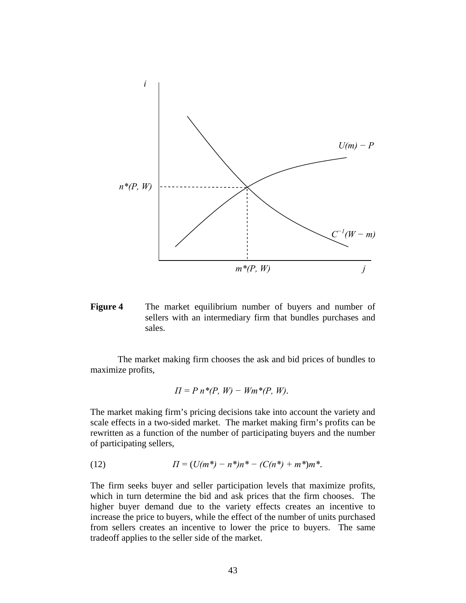

**Figure 4** The market equilibrium number of buyers and number of sellers with an intermediary firm that bundles purchases and sales.

 The market making firm chooses the ask and bid prices of bundles to maximize profits,

$$
\Pi = P n^*(P, W) - Wm^*(P, W).
$$

The market making firm's pricing decisions take into account the variety and scale effects in a two-sided market. The market making firm's profits can be rewritten as a function of the number of participating buyers and the number of participating sellers,

(12) 
$$
\Pi = (U(m^*) - n^*)n^* - (C(n^*) + m^*)m^*.
$$

The firm seeks buyer and seller participation levels that maximize profits, which in turn determine the bid and ask prices that the firm chooses. The higher buyer demand due to the variety effects creates an incentive to increase the price to buyers, while the effect of the number of units purchased from sellers creates an incentive to lower the price to buyers. The same tradeoff applies to the seller side of the market.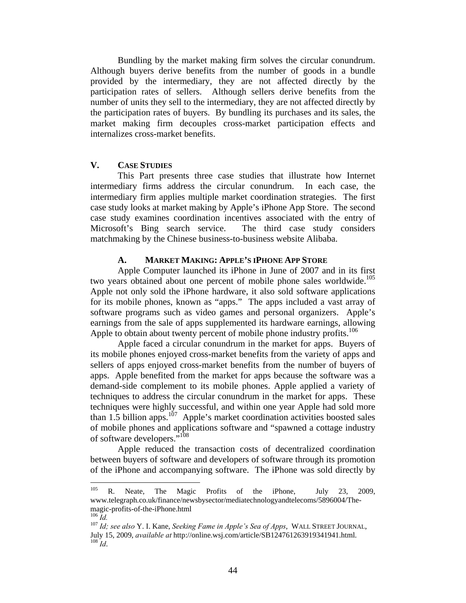Bundling by the market making firm solves the circular conundrum. Although buyers derive benefits from the number of goods in a bundle provided by the intermediary, they are not affected directly by the participation rates of sellers. Although sellers derive benefits from the number of units they sell to the intermediary, they are not affected directly by the participation rates of buyers. By bundling its purchases and its sales, the market making firm decouples cross-market participation effects and internalizes cross-market benefits.

## **V. CASE STUDIES**

This Part presents three case studies that illustrate how Internet intermediary firms address the circular conundrum. In each case, the intermediary firm applies multiple market coordination strategies. The first case study looks at market making by Apple's iPhone App Store. The second case study examines coordination incentives associated with the entry of Microsoft's Bing search service. The third case study considers matchmaking by the Chinese business-to-business website Alibaba.

## **A. MARKET MAKING: APPLE'S IPHONE APP STORE**

 Apple Computer launched its iPhone in June of 2007 and in its first two years obtained about one percent of mobile phone sales worldwide.<sup>105</sup> Apple not only sold the iPhone hardware, it also sold software applications for its mobile phones, known as "apps." The apps included a vast array of software programs such as video games and personal organizers. Apple's earnings from the sale of apps supplemented its hardware earnings, allowing Apple to obtain about twenty percent of mobile phone industry profits.<sup>106</sup>

 Apple faced a circular conundrum in the market for apps. Buyers of its mobile phones enjoyed cross-market benefits from the variety of apps and sellers of apps enjoyed cross-market benefits from the number of buyers of apps. Apple benefited from the market for apps because the software was a demand-side complement to its mobile phones. Apple applied a variety of techniques to address the circular conundrum in the market for apps. These techniques were highly successful, and within one year Apple had sold more than 1.5 billion apps.<sup>107</sup> Apple's market coordination activities boosted sales of mobile phones and applications software and "spawned a cottage industry of software developers."108

 Apple reduced the transaction costs of decentralized coordination between buyers of software and developers of software through its promotion of the iPhone and accompanying software. The iPhone was sold directly by

<sup>105</sup> R. Neate, The Magic Profits of the iPhone, July 23, 2009, www.telegraph.co.uk/finance/newsbysector/mediatechnologyandtelecoms/5896004/Themagic-profits-of-the-iPhone.html<br><sup>106</sup> *Id. Idi see also* Y. I. Kane, *Seeking Fame in Apple's Sea of Apps*, WALL STREET JOURNAL,

July 15, 2009, *available at* http://online.wsj.com/article/SB124761263919341941.html. 108 *Id*.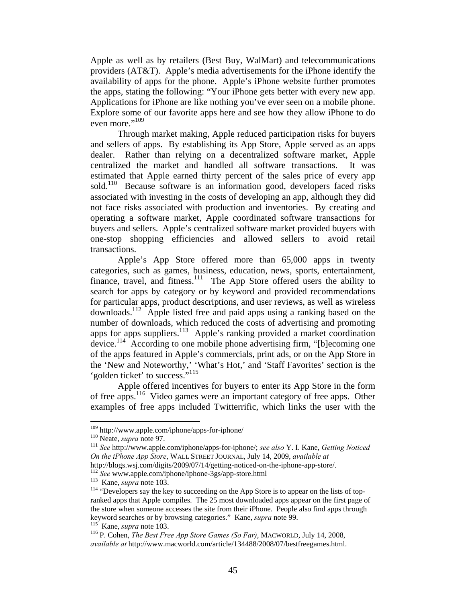Apple as well as by retailers (Best Buy, WalMart) and telecommunications providers (AT&T). Apple's media advertisements for the iPhone identify the availability of apps for the phone. Apple's iPhone website further promotes the apps, stating the following: "Your iPhone gets better with every new app. Applications for iPhone are like nothing you've ever seen on a mobile phone. Explore some of our favorite apps here and see how they allow iPhone to do even more."<sup>109</sup>

 Through market making, Apple reduced participation risks for buyers and sellers of apps. By establishing its App Store, Apple served as an apps dealer. Rather than relying on a decentralized software market, Apple centralized the market and handled all software transactions. It was estimated that Apple earned thirty percent of the sales price of every app sold.<sup>110</sup> Because software is an information good, developers faced risks associated with investing in the costs of developing an app, although they did not face risks associated with production and inventories. By creating and operating a software market, Apple coordinated software transactions for buyers and sellers. Apple's centralized software market provided buyers with one-stop shopping efficiencies and allowed sellers to avoid retail transactions.

 Apple's App Store offered more than 65,000 apps in twenty categories, such as games, business, education, news, sports, entertainment, finance, travel, and fitness.<sup>111</sup> The App Store offered users the ability to search for apps by category or by keyword and provided recommendations for particular apps, product descriptions, and user reviews, as well as wireless downloads.112 Apple listed free and paid apps using a ranking based on the number of downloads, which reduced the costs of advertising and promoting apps for apps suppliers.<sup>113</sup> Apple's ranking provided a market coordination device.<sup>114</sup> According to one mobile phone advertising firm, "[b]ecoming one of the apps featured in Apple's commercials, print ads, or on the App Store in the 'New and Noteworthy,' 'What's Hot,' and 'Staff Favorites' section is the 'golden ticket' to success."<sup>115</sup>

 Apple offered incentives for buyers to enter its App Store in the form of free apps.116 Video games were an important category of free apps. Other examples of free apps included Twitterrific, which links the user with the

<sup>109</sup> http://www.apple.com/iphone/apps-for-iphone/ 110 Neate, *supra* note 97. 111 *See* http://www.apple.com/iphone/apps-for-iphone/; *see also* Y. I. Kane, *Getting Noticed On the iPhone App Store*, WALL STREET JOURNAL, July 14, 2009, *available at* 

<sup>&</sup>lt;sup>112</sup> See www.apple.com/iphone/iphone-3gs/app-store.html<br><sup>113</sup> Kane, *supra* note 103.<br><sup>114</sup> "Developers say the key to succeeding on the App Store is to appear on the lists of topranked apps that Apple compiles. The 25 most downloaded apps appear on the first page of the store when someone accesses the site from their iPhone. People also find apps through keyword searches or by browsing categories." Kane, *supra* note 99.<br><sup>115</sup> Kane, *supra* note 103.<br><sup>116</sup> P. Cohen, *The Best Free App Store Games (So Far)*, MACWORLD, July 14, 2008,

*available at* http://www.macworld.com/article/134488/2008/07/bestfreegames.html.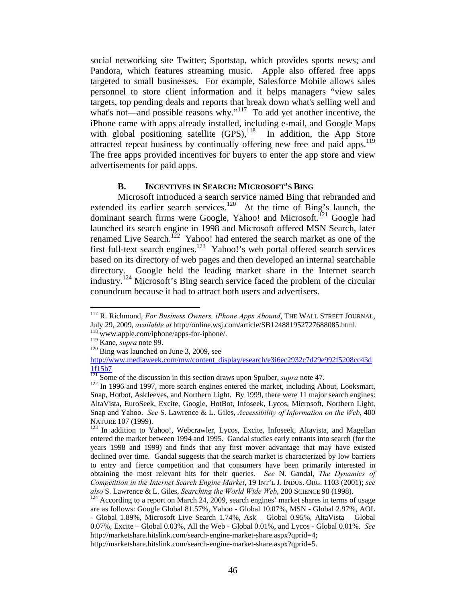social networking site Twitter; Sportstap, which provides sports news; and Pandora, which features streaming music. Apple also offered free apps targeted to small businesses. For example, Salesforce Mobile allows sales personnel to store client information and it helps managers "view sales targets, top pending deals and reports that break down what's selling well and what's not—and possible reasons why."<sup>117</sup> To add yet another incentive, the iPhone came with apps already installed, including e-mail, and Google Maps with global positioning satellite  $(GPS)$ ,  $^{118}$  In addition, the App Store attracted repeat business by continually offering new free and paid apps.<sup>119</sup> The free apps provided incentives for buyers to enter the app store and view advertisements for paid apps.

#### **B. INCENTIVES IN SEARCH: MICROSOFT'S BING**

 Microsoft introduced a search service named Bing that rebranded and extended its earlier search services.<sup>120</sup> At the time of Bing's launch, the dominant search firms were Google, Yahoo! and Microsoft.<sup>121</sup> Google had launched its search engine in 1998 and Microsoft offered MSN Search, later renamed Live Search.<sup>122</sup> Yahoo! had entered the search market as one of the first full-text search engines.<sup>123</sup> Yahoo!'s web portal offered search services based on its directory of web pages and then developed an internal searchable directory. Google held the leading market share in the Internet search industry.<sup>124</sup> Microsoft's Bing search service faced the problem of the circular conundrum because it had to attract both users and advertisers.

<sup>&</sup>lt;sup>117</sup> R. Richmond, *For Business Owners, iPhone Apps Abound*, THE WALL STREET JOURNAL, July 29, 2009, *available at* http://online.wsj.com/article/SB124881952727688085.html. 118 www.apple.com/iphone/apps-for-iphone/.

<sup>&</sup>lt;sup>120</sup> Bing was launched on June 3, 2009, see

http://www.mediaweek.com/mw/content\_display/esearch/e3i6ec2932c7d29e992f5208cc43d  $\frac{1\text{f15b7}}{121}$  Some of the discussion in this section draws upon Spulber, *supra* note 47.

<sup>&</sup>lt;sup>122</sup> In 1996 and 1997, more search engines entered the market, including About, Looksmart, Snap, Hotbot, AskJeeves, and Northern Light. By 1999, there were 11 major search engines: AltaVista, EuroSeek, Excite, Google, HotBot, Infoseek, Lycos, Microsoft, Northern Light, Snap and Yahoo. *See* S. Lawrence & L. Giles, *Accessibility of Information on the Web*, 400 NATURE 107 (1999).<br><sup>123</sup> In addition to Yahoo!, Webcrawler, Lycos, Excite, Infoseek, Altavista, and Magellan

entered the market between 1994 and 1995. Gandal studies early entrants into search (for the years 1998 and 1999) and finds that any first mover advantage that may have existed declined over time. Gandal suggests that the search market is characterized by low barriers to entry and fierce competition and that consumers have been primarily interested in obtaining the most relevant hits for their queries. *See* N. Gandal, *The Dynamics of Competition in the Internet Search Engine Market*, 19 INT'L J. INDUS. ORG. 1103 (2001); *see also* S. Lawrence & L. Giles, *Searching the World Wide Web*, 280 SCIENCE 98 (1998). 124 According to a report on March 24, 2009, search engines' market shares in terms of usage

are as follows: Google Global 81.57%, Yahoo - Global 10.07%, MSN - Global 2.97%, AOL - Global 1.89%, Microsoft Live Search 1.74%, Ask – Global 0.95%, AltaVista – Global 0.07%, Excite – Global 0.03%, All the Web - Global 0.01%, and Lycos - Global 0.01%. *See* http://marketshare.hitslink.com/search-engine-market-share.aspx?qprid=4;

http://marketshare.hitslink.com/search-engine-market-share.aspx?qprid=5.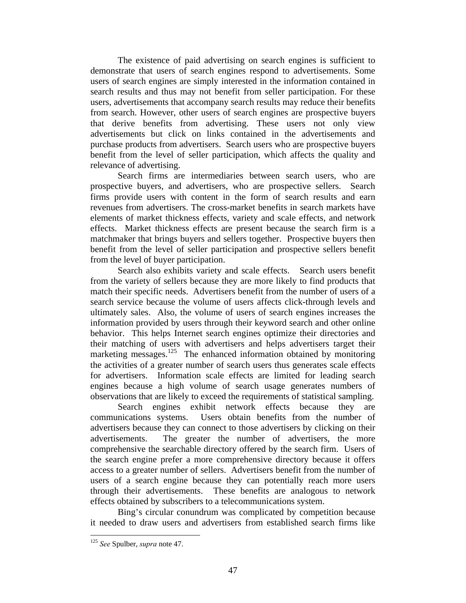The existence of paid advertising on search engines is sufficient to demonstrate that users of search engines respond to advertisements. Some users of search engines are simply interested in the information contained in search results and thus may not benefit from seller participation. For these users, advertisements that accompany search results may reduce their benefits from search. However, other users of search engines are prospective buyers that derive benefits from advertising. These users not only view advertisements but click on links contained in the advertisements and purchase products from advertisers. Search users who are prospective buyers benefit from the level of seller participation, which affects the quality and relevance of advertising.

Search firms are intermediaries between search users, who are prospective buyers, and advertisers, who are prospective sellers. Search firms provide users with content in the form of search results and earn revenues from advertisers. The cross-market benefits in search markets have elements of market thickness effects, variety and scale effects, and network effects. Market thickness effects are present because the search firm is a matchmaker that brings buyers and sellers together. Prospective buyers then benefit from the level of seller participation and prospective sellers benefit from the level of buyer participation.

Search also exhibits variety and scale effects. Search users benefit from the variety of sellers because they are more likely to find products that match their specific needs. Advertisers benefit from the number of users of a search service because the volume of users affects click-through levels and ultimately sales. Also, the volume of users of search engines increases the information provided by users through their keyword search and other online behavior. This helps Internet search engines optimize their directories and their matching of users with advertisers and helps advertisers target their marketing messages.<sup>125</sup> The enhanced information obtained by monitoring the activities of a greater number of search users thus generates scale effects for advertisers. Information scale effects are limited for leading search engines because a high volume of search usage generates numbers of observations that are likely to exceed the requirements of statistical sampling.

Search engines exhibit network effects because they are communications systems. Users obtain benefits from the number of advertisers because they can connect to those advertisers by clicking on their advertisements. The greater the number of advertisers, the more comprehensive the searchable directory offered by the search firm. Users of the search engine prefer a more comprehensive directory because it offers access to a greater number of sellers. Advertisers benefit from the number of users of a search engine because they can potentially reach more users through their advertisements. These benefits are analogous to network effects obtained by subscribers to a telecommunications system.

Bing's circular conundrum was complicated by competition because it needed to draw users and advertisers from established search firms like

<u>.</u>

<sup>125</sup> *See* Spulber, *supra* note 47.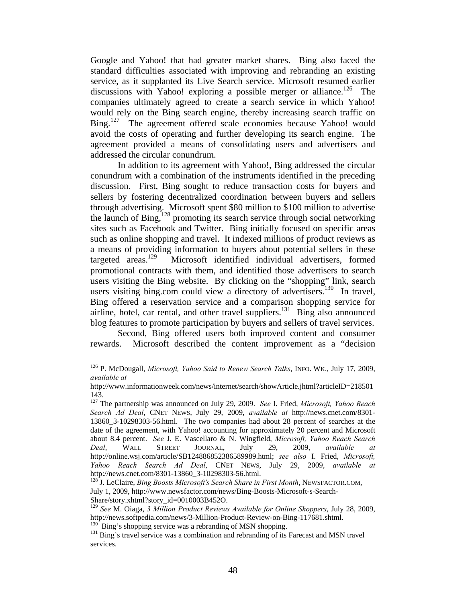Google and Yahoo! that had greater market shares. Bing also faced the standard difficulties associated with improving and rebranding an existing service, as it supplanted its Live Search service. Microsoft resumed earlier discussions with Yahoo! exploring a possible merger or alliance.<sup>126</sup> The companies ultimately agreed to create a search service in which Yahoo! would rely on the Bing search engine, thereby increasing search traffic on Bing.<sup>127</sup> The agreement offered scale economies because Yahoo! would avoid the costs of operating and further developing its search engine. The agreement provided a means of consolidating users and advertisers and addressed the circular conundrum.

In addition to its agreement with Yahoo!, Bing addressed the circular conundrum with a combination of the instruments identified in the preceding discussion. First, Bing sought to reduce transaction costs for buyers and sellers by fostering decentralized coordination between buyers and sellers through advertising. Microsoft spent \$80 million to \$100 million to advertise the launch of Bing,<sup>128</sup> promoting its search service through social networking sites such as Facebook and Twitter. Bing initially focused on specific areas such as online shopping and travel. It indexed millions of product reviews as a means of providing information to buyers about potential sellers in these targeted areas.<sup>129</sup> Microsoft identified individual advertisers, formed promotional contracts with them, and identified those advertisers to search users visiting the Bing website. By clicking on the "shopping" link, search users visiting bing.com could view a directory of advertisers.<sup>130</sup> In travel, Bing offered a reservation service and a comparison shopping service for airline, hotel, car rental, and other travel suppliers.<sup>131</sup> Bing also announced blog features to promote participation by buyers and sellers of travel services.

Second, Bing offered users both improved content and consumer rewards. Microsoft described the content improvement as a "decision

<sup>126</sup> P. McDougall, *Microsoft, Yahoo Said to Renew Search Talks*, INFO. WK., July 17, 2009, *available at* 

http://www.informationweek.com/news/internet/search/showArticle.jhtml?articleID=218501 143.

<sup>127</sup> The partnership was announced on July 29, 2009. *See* I. Fried, *Microsoft, Yahoo Reach Search Ad Deal*, CNET NEWS, July 29, 2009, *available at* http://news.cnet.com/8301- 13860\_3-10298303-56.html. The two companies had about 28 percent of searches at the date of the agreement, with Yahoo! accounting for approximately 20 percent and Microsoft about 8.4 percent. *See* J. E. Vascellaro & N. Wingfield, *Microsoft, Yahoo Reach Search Deal*, WALL STREET JOURNAL, July 29, 2009, *available at*  http://online.wsj.com/article/SB124886852386589989.html; *see also* I. Fried, *Microsoft, Yahoo Reach Search Ad Deal*, CNET NEWS, July 29, 2009, *available at* 

<sup>&</sup>lt;sup>128</sup> J. LeClaire, *Bing Boosts Microsoft's Search Share in First Month*, NEWSFACTOR.COM, July 1, 2009, http://www.newsfactor.com/news/Bing-Boosts-Microsoft-s-Search-Share/story.xhtml?story\_id=0010003B452O.

<sup>&</sup>lt;sup>129</sup> *See* M. Oiaga, *3 Million Product Reviews Available for Online Shoppers*, July 28, 2009, http://news.softpedia.com/news/3-Million-Product-Review-on-Bing-117681.shtml.

 $^{130}$  Bing's shopping service was a rebranding of MSN shopping.<br><sup>131</sup> Bing's travel service was a combination and rebranding of its Farecast and MSN travel services.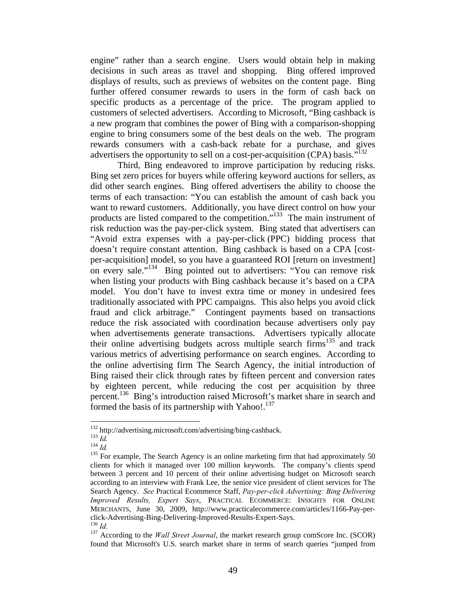engine" rather than a search engine. Users would obtain help in making decisions in such areas as travel and shopping. Bing offered improved displays of results, such as previews of websites on the content page. Bing further offered consumer rewards to users in the form of cash back on specific products as a percentage of the price. The program applied to customers of selected advertisers. According to Microsoft, "Bing cashback is a new program that combines the power of Bing with a comparison-shopping engine to bring consumers some of the best deals on the web. The program rewards consumers with a cash-back rebate for a purchase, and gives advertisers the opportunity to sell on a cost-per-acquisition (CPA) basis."<sup>132</sup>

Third, Bing endeavored to improve participation by reducing risks. Bing set zero prices for buyers while offering keyword auctions for sellers, as did other search engines. Bing offered advertisers the ability to choose the terms of each transaction: "You can establish the amount of cash back you want to reward customers. Additionally, you have direct control on how your products are listed compared to the competition."133 The main instrument of risk reduction was the pay-per-click system. Bing stated that advertisers can "Avoid extra expenses with a pay-per-click (PPC) bidding process that doesn't require constant attention. Bing cashback is based on a CPA [costper-acquisition] model, so you have a guaranteed ROI [return on investment] on every sale."<sup>134</sup> Bing pointed out to advertisers: "You can remove risk when listing your products with Bing cashback because it's based on a CPA model. You don't have to invest extra time or money in undesired fees traditionally associated with PPC campaigns. This also helps you avoid click fraud and click arbitrage." Contingent payments based on transactions reduce the risk associated with coordination because advertisers only pay when advertisements generate transactions. Advertisers typically allocate their online advertising budgets across multiple search firms<sup>135</sup> and track various metrics of advertising performance on search engines. According to the online advertising firm The Search Agency, the initial introduction of Bing raised their click through rates by fifteen percent and conversion rates by eighteen percent, while reducing the cost per acquisition by three percent.136 Bing's introduction raised Microsoft's market share in search and formed the basis of its partnership with Yahoo!.<sup>137</sup>

<sup>132</sup> http://advertising.microsoft.com/advertising/bing-cashback.<br>
<sup>133</sup> *Id.*<br>
<sup>134</sup> *Id.* 135 For example, The Search Agency is an online marketing firm that had approximately 50 clients for which it managed over 100 million keywords. The company's clients spend between 3 percent and 10 percent of their online advertising budget on Microsoft search according to an interview with Frank Lee, the senior vice president of client services for The Search Agency. *See* Practical Ecommerce Staff, *Pay-per-click Advertising: Bing Delivering Improved Results, Expert Says*, PRACTICAL ECOMMERCE: INSIGHTS FOR ONLINE MERCHANTS, June 30, 2009, http://www.practicalecommerce.com/articles/1166-Pay-perclick-Advertising-Bing-Delivering-Improved-Results-Expert-Says. 136 *Id.* 137 According to the *Wall Street Journal*, the market research group comScore Inc. (SCOR)

found that Microsoft's U.S. search market share in terms of search queries "jumped from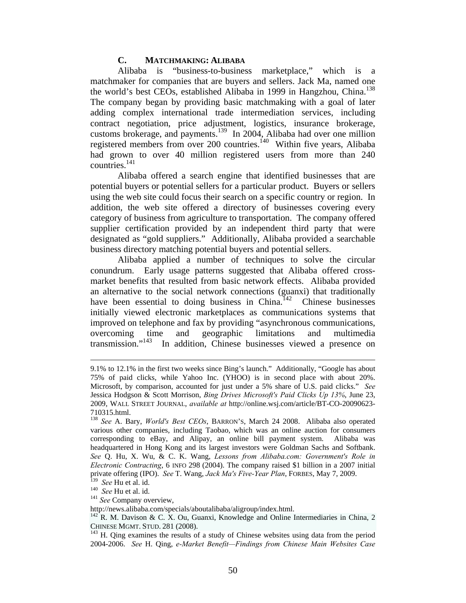#### **C. MATCHMAKING: ALIBABA**

Alibaba is "business-to-business marketplace," which is a matchmaker for companies that are buyers and sellers. Jack Ma, named one the world's best CEOs, established Alibaba in 1999 in Hangzhou, China.<sup>138</sup> The company began by providing basic matchmaking with a goal of later adding complex international trade intermediation services, including contract negotiation, price adjustment, logistics, insurance brokerage, customs brokerage, and payments.139 In 2004, Alibaba had over one million registered members from over 200 countries.<sup>140</sup> Within five years, Alibaba had grown to over 40 million registered users from more than 240 countries.141

Alibaba offered a search engine that identified businesses that are potential buyers or potential sellers for a particular product. Buyers or sellers using the web site could focus their search on a specific country or region. In addition, the web site offered a directory of businesses covering every category of business from agriculture to transportation. The company offered supplier certification provided by an independent third party that were designated as "gold suppliers." Additionally, Alibaba provided a searchable business directory matching potential buyers and potential sellers.

Alibaba applied a number of techniques to solve the circular conundrum. Early usage patterns suggested that Alibaba offered crossmarket benefits that resulted from basic network effects. Alibaba provided an alternative to the social network connections (guanxi) that traditionally have been essential to doing business in China.<sup>142</sup> Chinese businesses initially viewed electronic marketplaces as communications systems that improved on telephone and fax by providing "asynchronous communications, overcoming time and geographic limitations and multimedia transmission."<sup>143</sup> In addition, Chinese businesses viewed a presence on In addition, Chinese businesses viewed a presence on

<sup>9.1%</sup> to 12.1% in the first two weeks since Bing's launch." Additionally, "Google has about 75% of paid clicks, while Yahoo Inc. (YHOO) is in second place with about 20%. Microsoft, by comparison, accounted for just under a 5% share of U.S. paid clicks." *See* Jessica Hodgson & Scott Morrison, *Bing Drives Microsoft's Paid Clicks Up 13%*, June 23, 2009, WALL STREET JOURNAL, *available at* http://online.wsj.com/article/BT-CO-20090623- 710315.html.

<sup>138</sup> *See* A. Bary, *World's Best CEOs*, BARRON'S, March 24 2008. Alibaba also operated various other companies, including Taobao, which was an online auction for consumers corresponding to eBay, and Alipay, an online bill payment system. Alibaba was headquartered in Hong Kong and its largest investors were Goldman Sachs and Softbank. *See* Q. Hu, X. Wu, & C. K. Wang, *Lessons from Alibaba.com: Government's Role in Electronic Contracting*, 6 INFO 298 (2004). The company raised \$1 billion in a 2007 initial private offering (IPO). *See* T. Wang, *Jack Ma's Five-Year Plan*, FORBES, May 7, 2009.

<sup>140</sup> *See Hu et al. id.*<br>
<sup>140</sup> *See Hu et al. id.*<br>
<sup>141</sup> *See Company overview*,<br>
http://news.alibaba.com/specials/aboutalibaba/aligroup/index.html.

 $h^{142}$  R. M. Davison & C. X. Ou, Guanxi, Knowledge and Online Intermediaries in China, 2 CHINESE MGMT. STUD. 281 (2008). 143 H. Qing examines the results of a study of Chinese websites using data from the period

<sup>2004-2006.</sup> *See* H. Qing, *e-Market Benefit—Findings from Chinese Main Websites Case*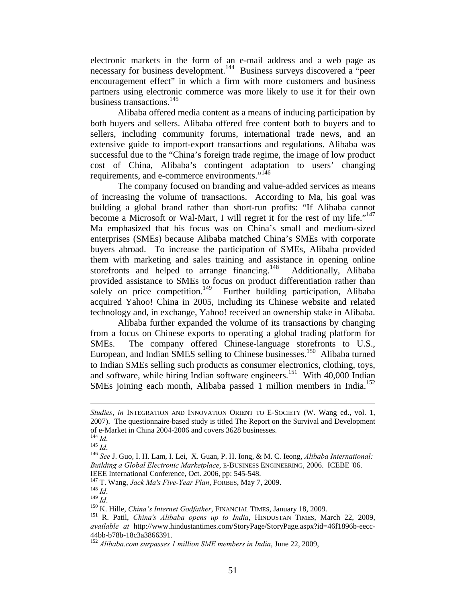electronic markets in the form of an e-mail address and a web page as necessary for business development.<sup>144</sup> Business surveys discovered a "peer encouragement effect" in which a firm with more customers and business partners using electronic commerce was more likely to use it for their own business transactions.<sup>145</sup>

Alibaba offered media content as a means of inducing participation by both buyers and sellers. Alibaba offered free content both to buyers and to sellers, including community forums, international trade news, and an extensive guide to import-export transactions and regulations. Alibaba was successful due to the "China's foreign trade regime, the image of low product cost of China, Alibaba's contingent adaptation to users' changing requirements, and e-commerce environments."146

The company focused on branding and value-added services as means of increasing the volume of transactions. According to Ma, his goal was building a global brand rather than short-run profits: "If Alibaba cannot become a Microsoft or Wal-Mart, I will regret it for the rest of my life."<sup>147</sup> Ma emphasized that his focus was on China's small and medium-sized enterprises (SMEs) because Alibaba matched China's SMEs with corporate buyers abroad. To increase the participation of SMEs, Alibaba provided them with marketing and sales training and assistance in opening online storefronts and helped to arrange financing.<sup>148</sup> Additionally, Alibaba provided assistance to SMEs to focus on product differentiation rather than solely on price competition.<sup>149</sup> Further building participation, Alibaba acquired Yahoo! China in 2005, including its Chinese website and related technology and, in exchange, Yahoo! received an ownership stake in Alibaba.

Alibaba further expanded the volume of its transactions by changing from a focus on Chinese exports to operating a global trading platform for SMEs. The company offered Chinese-language storefronts to U.S., European, and Indian SMES selling to Chinese businesses.<sup>150</sup> Alibaba turned to Indian SMEs selling such products as consumer electronics, clothing, toys, and software, while hiring Indian software engineers.<sup>151</sup> With 40,000 Indian SMEs joining each month, Alibaba passed 1 million members in India.<sup>152</sup>

*Studies*, *in* INTEGRATION AND INNOVATION ORIENT TO E-SOCIETY (W. Wang ed., vol. 1, 2007). The questionnaire-based study is titled The Report on the Survival and Development of e-Market in China 2004-2006 and covers 3628 businesses.<br><sup>144</sup> *Id*.<br><sup>145</sup> *Id*.

<sup>&</sup>lt;sup>146</sup> *See J. Guo, I. H. Lam, I. Lei, X. Guan, P. H. Iong, & M. C. Ieong, Alibaba International: Building a Global Electronic Marketplace*, E-BUSINESS ENGINEERING, 2006. ICEBE '06.

IEEE International Conference, Oct. 2006, pp: 545-548.<br>
<sup>147</sup> T. Wang, *Jack Ma's Five-Year Plan*, FORBES, May 7, 2009.<br>
<sup>148</sup> Id.<br>
<sup>149</sup> Id.<br>
<sup>150</sup> K. Hille, *China's Internet Godfather*, FINANCIAL TIMES, January 18, 2009 *available at* http://www.hindustantimes.com/StoryPage/StoryPage.aspx?id=46f1896b-eecc-44bb-b78b-18c3a3866391.

<sup>152</sup> *Alibaba.com surpasses 1 million SME members in India*, June 22, 2009,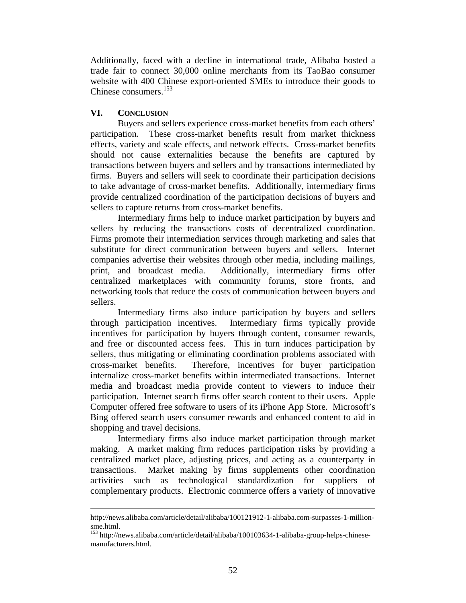Additionally, faced with a decline in international trade, Alibaba hosted a trade fair to connect 30,000 online merchants from its TaoBao consumer website with 400 Chinese export-oriented SMEs to introduce their goods to Chinese consumers.153

## **VI. CONCLUSION**

<u>.</u>

 Buyers and sellers experience cross-market benefits from each others' participation. These cross-market benefits result from market thickness effects, variety and scale effects, and network effects. Cross-market benefits should not cause externalities because the benefits are captured by transactions between buyers and sellers and by transactions intermediated by firms. Buyers and sellers will seek to coordinate their participation decisions to take advantage of cross-market benefits. Additionally, intermediary firms provide centralized coordination of the participation decisions of buyers and sellers to capture returns from cross-market benefits.

 Intermediary firms help to induce market participation by buyers and sellers by reducing the transactions costs of decentralized coordination. Firms promote their intermediation services through marketing and sales that substitute for direct communication between buyers and sellers. Internet companies advertise their websites through other media, including mailings, print, and broadcast media. Additionally, intermediary firms offer centralized marketplaces with community forums, store fronts, and networking tools that reduce the costs of communication between buyers and sellers.

Intermediary firms also induce participation by buyers and sellers through participation incentives. Intermediary firms typically provide incentives for participation by buyers through content, consumer rewards, and free or discounted access fees. This in turn induces participation by sellers, thus mitigating or eliminating coordination problems associated with cross-market benefits. Therefore, incentives for buyer participation internalize cross-market benefits within intermediated transactions. Internet media and broadcast media provide content to viewers to induce their participation. Internet search firms offer search content to their users. Apple Computer offered free software to users of its iPhone App Store. Microsoft's Bing offered search users consumer rewards and enhanced content to aid in shopping and travel decisions.

Intermediary firms also induce market participation through market making. A market making firm reduces participation risks by providing a centralized market place, adjusting prices, and acting as a counterparty in transactions. Market making by firms supplements other coordination activities such as technological standardization for suppliers of complementary products. Electronic commerce offers a variety of innovative

http://news.alibaba.com/article/detail/alibaba/100121912-1-alibaba.com-surpasses-1-millionsme.html.

<sup>153</sup> http://news.alibaba.com/article/detail/alibaba/100103634-1-alibaba-group-helps-chinesemanufacturers.html.